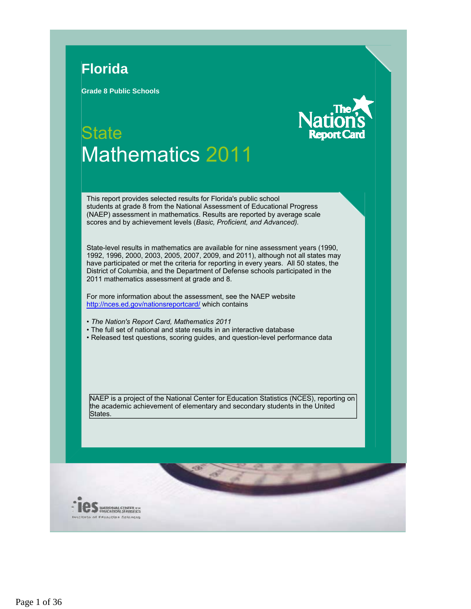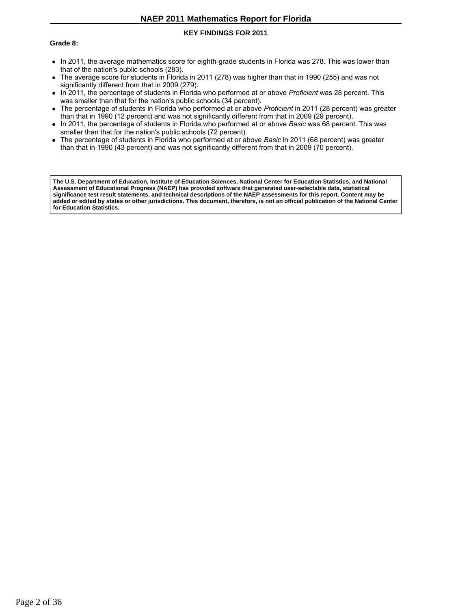## **KEY FINDINGS FOR 2011**

#### **Grade 8:**

- In 2011, the average mathematics score for eighth-grade students in Florida was 278. This was lower than that of the nation's public schools (283).
- The average score for students in Florida in 2011 (278) was higher than that in 1990 (255) and was not significantly different from that in 2009 (279).
- In 2011, the percentage of students in Florida who performed at or above *Proficient* was 28 percent. This was smaller than that for the nation's public schools (34 percent).
- The percentage of students in Florida who performed at or above *Proficient* in 2011 (28 percent) was greater than that in 1990 (12 percent) and was not significantly different from that in 2009 (29 percent).
- In 2011, the percentage of students in Florida who performed at or above *Basic* was 68 percent. This was smaller than that for the nation's public schools (72 percent).
- The percentage of students in Florida who performed at or above *Basic* in 2011 (68 percent) was greater than that in 1990 (43 percent) and was not significantly different from that in 2009 (70 percent).

**The U.S. Department of Education, Institute of Education Sciences, National Center for Education Statistics, and National Assessment of Educational Progress (NAEP) has provided software that generated user-selectable data, statistical significance test result statements, and technical descriptions of the NAEP assessments for this report. Content may be added or edited by states or other jurisdictions. This document, therefore, is not an official publication of the National Center for Education Statistics.**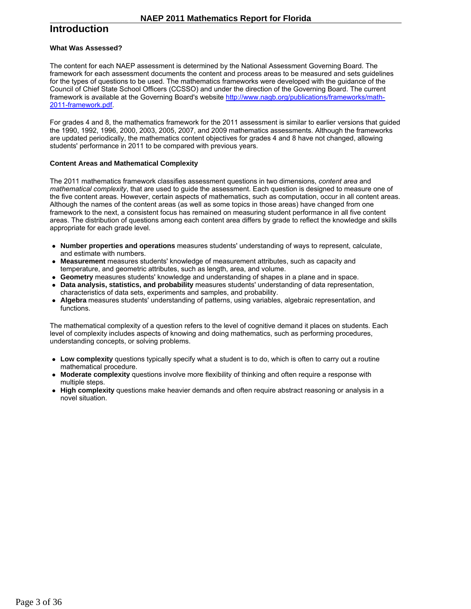# **Introduction**

#### **What Was Assessed?**

The content for each NAEP assessment is determined by the National Assessment Governing Board. The framework for each assessment documents the content and process areas to be measured and sets guidelines for the types of questions to be used. The mathematics frameworks were developed with the guidance of the Council of Chief State School Officers (CCSSO) and under the direction of the Governing Board. The current framework is available at the Governing Board's website http://www.nagb.org/publications/frameworks/math-2011-framework.pdf.

For grades 4 and 8, the mathematics framework for the 2011 assessment is similar to earlier versions that guided the 1990, 1992, 1996, 2000, 2003, 2005, 2007, and 2009 mathematics assessments. Although the frameworks are updated periodically, the mathematics content objectives for grades 4 and 8 have not changed, allowing students' performance in 2011 to be compared with previous years.

#### **Content Areas and Mathematical Complexity**

The 2011 mathematics framework classifies assessment questions in two dimensions, *content area* and *mathematical complexity*, that are used to guide the assessment. Each question is designed to measure one of the five content areas. However, certain aspects of mathematics, such as computation, occur in all content areas. Although the names of the content areas (as well as some topics in those areas) have changed from one framework to the next, a consistent focus has remained on measuring student performance in all five content areas. The distribution of questions among each content area differs by grade to reflect the knowledge and skills appropriate for each grade level.

- **Number properties and operations** measures students' understanding of ways to represent, calculate, and estimate with numbers.
- **Measurement** measures students' knowledge of measurement attributes, such as capacity and temperature, and geometric attributes, such as length, area, and volume.
- **Geometry** measures students' knowledge and understanding of shapes in a plane and in space.
- **Data analysis, statistics, and probability** measures students' understanding of data representation, characteristics of data sets, experiments and samples, and probability.
- **Algebra** measures students' understanding of patterns, using variables, algebraic representation, and functions.

The mathematical complexity of a question refers to the level of cognitive demand it places on students. Each level of complexity includes aspects of knowing and doing mathematics, such as performing procedures, understanding concepts, or solving problems.

- **Low complexity** questions typically specify what a student is to do, which is often to carry out a routine mathematical procedure.
- **Moderate complexity** questions involve more flexibility of thinking and often require a response with multiple steps.
- **High complexity** questions make heavier demands and often require abstract reasoning or analysis in a novel situation.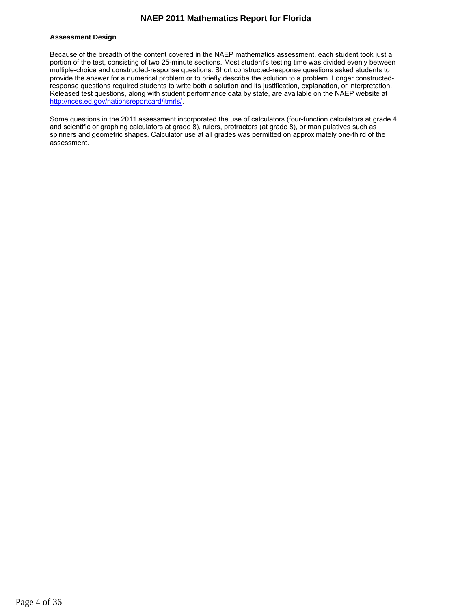### **Assessment Design**

Because of the breadth of the content covered in the NAEP mathematics assessment, each student took just a portion of the test, consisting of two 25-minute sections. Most student's testing time was divided evenly between multiple-choice and constructed-response questions. Short constructed-response questions asked students to provide the answer for a numerical problem or to briefly describe the solution to a problem. Longer constructedresponse questions required students to write both a solution and its justification, explanation, or interpretation. Released test questions, along with student performance data by state, are available on the NAEP website at http://nces.ed.gov/nationsreportcard/itmrls/.

Some questions in the 2011 assessment incorporated the use of calculators (four-function calculators at grade 4 and scientific or graphing calculators at grade 8), rulers, protractors (at grade 8), or manipulatives such as spinners and geometric shapes. Calculator use at all grades was permitted on approximately one-third of the assessment.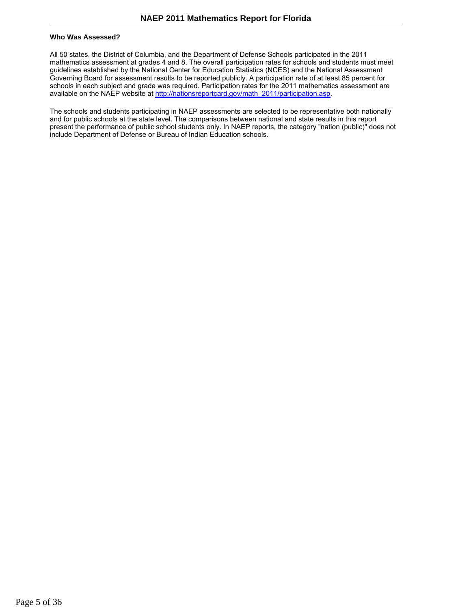#### **Who Was Assessed?**

All 50 states, the District of Columbia, and the Department of Defense Schools participated in the 2011 mathematics assessment at grades 4 and 8. The overall participation rates for schools and students must meet guidelines established by the National Center for Education Statistics (NCES) and the National Assessment Governing Board for assessment results to be reported publicly. A participation rate of at least 85 percent for schools in each subject and grade was required. Participation rates for the 2011 mathematics assessment are available on the NAEP website at http://nationsreportcard.gov/math\_2011/participation.asp.

The schools and students participating in NAEP assessments are selected to be representative both nationally and for public schools at the state level. The comparisons between national and state results in this report present the performance of public school students only. In NAEP reports, the category "nation (public)" does not include Department of Defense or Bureau of Indian Education schools.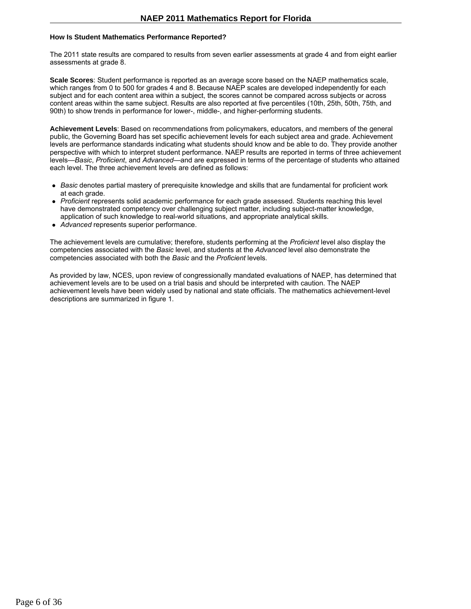#### **How Is Student Mathematics Performance Reported?**

The 2011 state results are compared to results from seven earlier assessments at grade 4 and from eight earlier assessments at grade 8.

**Scale Scores**: Student performance is reported as an average score based on the NAEP mathematics scale, which ranges from 0 to 500 for grades 4 and 8. Because NAEP scales are developed independently for each subject and for each content area within a subject, the scores cannot be compared across subjects or across content areas within the same subject. Results are also reported at five percentiles (10th, 25th, 50th, 75th, and 90th) to show trends in performance for lower-, middle-, and higher-performing students.

**Achievement Levels**: Based on recommendations from policymakers, educators, and members of the general public, the Governing Board has set specific achievement levels for each subject area and grade. Achievement levels are performance standards indicating what students should know and be able to do. They provide another perspective with which to interpret student performance. NAEP results are reported in terms of three achievement levels—*Basic*, *Proficient*, and *Advanced*—and are expressed in terms of the percentage of students who attained each level. The three achievement levels are defined as follows:

- *Basic* denotes partial mastery of prerequisite knowledge and skills that are fundamental for proficient work at each grade.
- *Proficient* represents solid academic performance for each grade assessed. Students reaching this level have demonstrated competency over challenging subject matter, including subject-matter knowledge, application of such knowledge to real-world situations, and appropriate analytical skills.
- *Advanced* represents superior performance.

The achievement levels are cumulative; therefore, students performing at the *Proficient* level also display the competencies associated with the *Basic* level, and students at the *Advanced* level also demonstrate the competencies associated with both the *Basic* and the *Proficient* levels.

As provided by law, NCES, upon review of congressionally mandated evaluations of NAEP, has determined that achievement levels are to be used on a trial basis and should be interpreted with caution. The NAEP achievement levels have been widely used by national and state officials. The mathematics achievement-level descriptions are summarized in figure 1.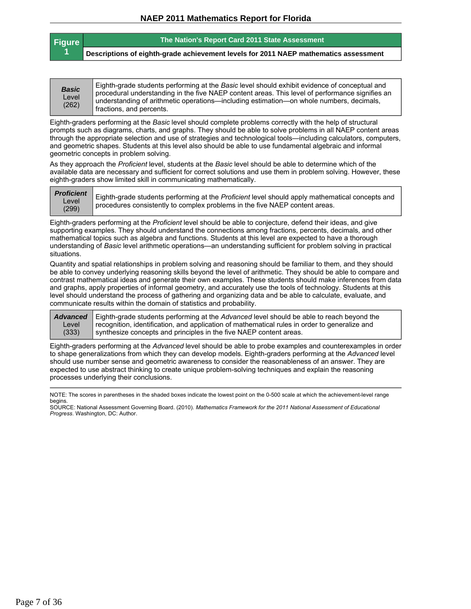| <b>Figure</b> | The Nation's Report Card 2011 State Assessment                                       |
|---------------|--------------------------------------------------------------------------------------|
|               | Descriptions of eighth-grade achievement levels for 2011 NAEP mathematics assessment |

Eighth-graders performing at the *Basic* level should complete problems correctly with the help of structural prompts such as diagrams, charts, and graphs. They should be able to solve problems in all NAEP content areas through the appropriate selection and use of strategies and technological tools—including calculators, computers, and geometric shapes. Students at this level also should be able to use fundamental algebraic and informal geometric concepts in problem solving.

As they approach the *Proficient* level, students at the *Basic* level should be able to determine which of the available data are necessary and sufficient for correct solutions and use them in problem solving. However, these eighth-graders show limited skill in communicating mathematically.

| <b>Proficient</b><br>Level<br>(299) | Eighth-grade students performing at the Proficient level should apply mathematical concepts and<br>procedures consistently to complex problems in the five NAEP content areas. |
|-------------------------------------|--------------------------------------------------------------------------------------------------------------------------------------------------------------------------------|
|-------------------------------------|--------------------------------------------------------------------------------------------------------------------------------------------------------------------------------|

Eighth-graders performing at the *Proficient* level should be able to conjecture, defend their ideas, and give supporting examples. They should understand the connections among fractions, percents, decimals, and other mathematical topics such as algebra and functions. Students at this level are expected to have a thorough understanding of *Basic* level arithmetic operations—an understanding sufficient for problem solving in practical situations.

Quantity and spatial relationships in problem solving and reasoning should be familiar to them, and they should be able to convey underlying reasoning skills beyond the level of arithmetic. They should be able to compare and contrast mathematical ideas and generate their own examples. These students should make inferences from data and graphs, apply properties of informal geometry, and accurately use the tools of technology. Students at this level should understand the process of gathering and organizing data and be able to calculate, evaluate, and communicate results within the domain of statistics and probability.

*Advanced* Level (333) Eighth-grade students performing at the *Advanced* level should be able to reach beyond the recognition, identification, and application of mathematical rules in order to generalize and synthesize concepts and principles in the five NAEP content areas.

Eighth-graders performing at the *Advanced* level should be able to probe examples and counterexamples in order to shape generalizations from which they can develop models. Eighth-graders performing at the *Advanced* level should use number sense and geometric awareness to consider the reasonableness of an answer. They are expected to use abstract thinking to create unique problem-solving techniques and explain the reasoning processes underlying their conclusions.

NOTE: The scores in parentheses in the shaded boxes indicate the lowest point on the 0-500 scale at which the achievement-level range begins

SOURCE: National Assessment Governing Board. (2010). *Mathematics Framework for the 2011 National Assessment of Educational Progress*. Washington, DC: Author.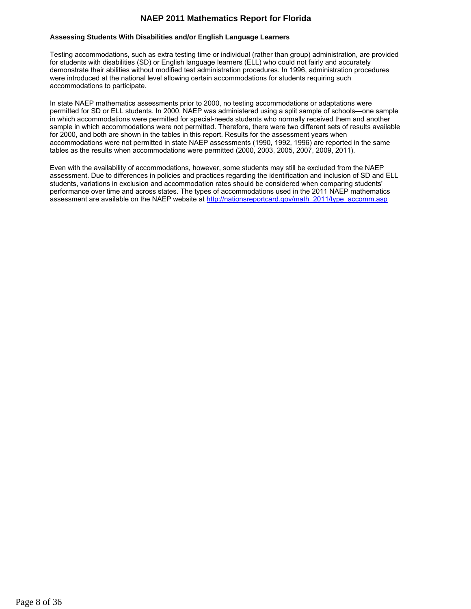## **Assessing Students With Disabilities and/or English Language Learners**

Testing accommodations, such as extra testing time or individual (rather than group) administration, are provided for students with disabilities (SD) or English language learners (ELL) who could not fairly and accurately demonstrate their abilities without modified test administration procedures. In 1996, administration procedures were introduced at the national level allowing certain accommodations for students requiring such accommodations to participate.

In state NAEP mathematics assessments prior to 2000, no testing accommodations or adaptations were permitted for SD or ELL students. In 2000, NAEP was administered using a split sample of schools—one sample in which accommodations were permitted for special-needs students who normally received them and another sample in which accommodations were not permitted. Therefore, there were two different sets of results available for 2000, and both are shown in the tables in this report. Results for the assessment years when accommodations were not permitted in state NAEP assessments (1990, 1992, 1996) are reported in the same tables as the results when accommodations were permitted (2000, 2003, 2005, 2007, 2009, 2011).

Even with the availability of accommodations, however, some students may still be excluded from the NAEP assessment. Due to differences in policies and practices regarding the identification and inclusion of SD and ELL students, variations in exclusion and accommodation rates should be considered when comparing students' performance over time and across states. The types of accommodations used in the 2011 NAEP mathematics assessment are available on the NAEP website at http://nationsreportcard.gov/math\_2011/type\_accomm.asp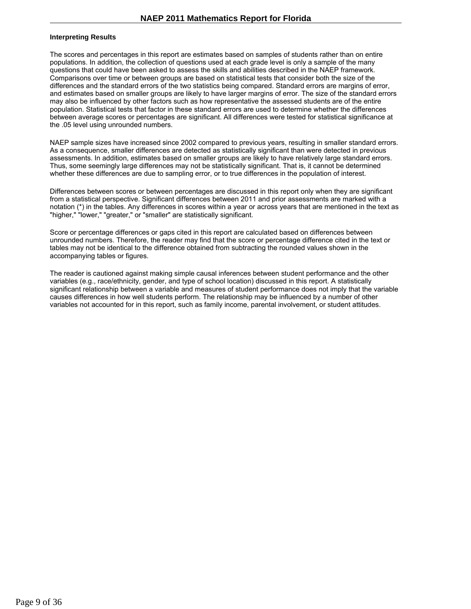#### **Interpreting Results**

The scores and percentages in this report are estimates based on samples of students rather than on entire populations. In addition, the collection of questions used at each grade level is only a sample of the many questions that could have been asked to assess the skills and abilities described in the NAEP framework. Comparisons over time or between groups are based on statistical tests that consider both the size of the differences and the standard errors of the two statistics being compared. Standard errors are margins of error, and estimates based on smaller groups are likely to have larger margins of error. The size of the standard errors may also be influenced by other factors such as how representative the assessed students are of the entire population. Statistical tests that factor in these standard errors are used to determine whether the differences between average scores or percentages are significant. All differences were tested for statistical significance at the .05 level using unrounded numbers.

NAEP sample sizes have increased since 2002 compared to previous years, resulting in smaller standard errors. As a consequence, smaller differences are detected as statistically significant than were detected in previous assessments. In addition, estimates based on smaller groups are likely to have relatively large standard errors. Thus, some seemingly large differences may not be statistically significant. That is, it cannot be determined whether these differences are due to sampling error, or to true differences in the population of interest.

Differences between scores or between percentages are discussed in this report only when they are significant from a statistical perspective. Significant differences between 2011 and prior assessments are marked with a notation (\*) in the tables. Any differences in scores within a year or across years that are mentioned in the text as "higher," "lower," "greater," or "smaller" are statistically significant.

Score or percentage differences or gaps cited in this report are calculated based on differences between unrounded numbers. Therefore, the reader may find that the score or percentage difference cited in the text or tables may not be identical to the difference obtained from subtracting the rounded values shown in the accompanying tables or figures.

The reader is cautioned against making simple causal inferences between student performance and the other variables (e.g., race/ethnicity, gender, and type of school location) discussed in this report. A statistically significant relationship between a variable and measures of student performance does not imply that the variable causes differences in how well students perform. The relationship may be influenced by a number of other variables not accounted for in this report, such as family income, parental involvement, or student attitudes.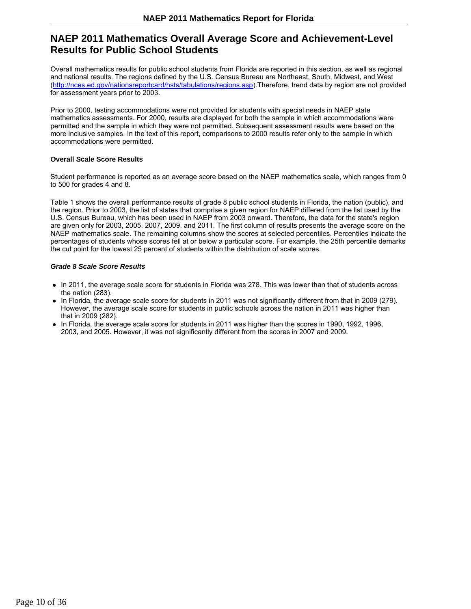# **NAEP 2011 Mathematics Overall Average Score and Achievement-Level Results for Public School Students**

Overall mathematics results for public school students from Florida are reported in this section, as well as regional and national results. The regions defined by the U.S. Census Bureau are Northeast, South, Midwest, and West (http://nces.ed.gov/nationsreportcard/hsts/tabulations/regions.asp).Therefore, trend data by region are not provided for assessment years prior to 2003.

Prior to 2000, testing accommodations were not provided for students with special needs in NAEP state mathematics assessments. For 2000, results are displayed for both the sample in which accommodations were permitted and the sample in which they were not permitted. Subsequent assessment results were based on the more inclusive samples. In the text of this report, comparisons to 2000 results refer only to the sample in which accommodations were permitted.

### **Overall Scale Score Results**

Student performance is reported as an average score based on the NAEP mathematics scale, which ranges from 0 to 500 for grades 4 and 8.

Table 1 shows the overall performance results of grade 8 public school students in Florida, the nation (public), and the region. Prior to 2003, the list of states that comprise a given region for NAEP differed from the list used by the U.S. Census Bureau, which has been used in NAEP from 2003 onward. Therefore, the data for the state's region are given only for 2003, 2005, 2007, 2009, and 2011. The first column of results presents the average score on the NAEP mathematics scale. The remaining columns show the scores at selected percentiles. Percentiles indicate the percentages of students whose scores fell at or below a particular score. For example, the 25th percentile demarks the cut point for the lowest 25 percent of students within the distribution of scale scores.

### *Grade 8 Scale Score Results*

- In 2011, the average scale score for students in Florida was 278. This was lower than that of students across the nation (283).
- In Florida, the average scale score for students in 2011 was not significantly different from that in 2009 (279). However, the average scale score for students in public schools across the nation in 2011 was higher than that in 2009 (282).
- In Florida, the average scale score for students in 2011 was higher than the scores in 1990, 1992, 1996, 2003, and 2005. However, it was not significantly different from the scores in 2007 and 2009.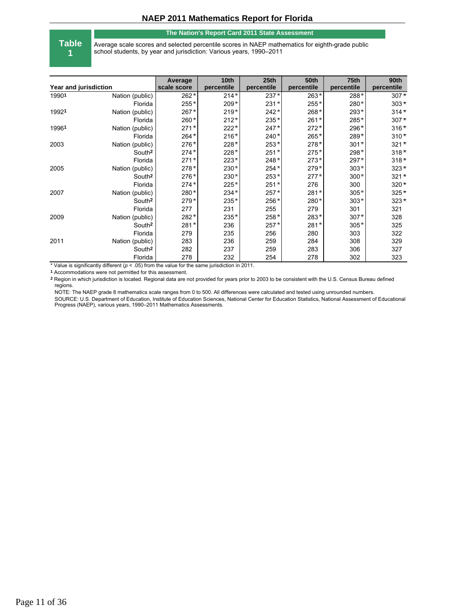#### **The Nation's Report Card 2011 State Assessment**

**Table 1**

Average scale scores and selected percentile scores in NAEP mathematics for eighth-grade public school students, by year and jurisdiction: Various years, 1990–2011

| Year and jurisdiction |                    | Average<br>scale score | 10th<br>percentile | 25 <sub>th</sub><br>percentile | <b>50th</b><br>percentile | 75th<br>percentile | 90th<br>percentile |
|-----------------------|--------------------|------------------------|--------------------|--------------------------------|---------------------------|--------------------|--------------------|
|                       |                    |                        |                    |                                |                           |                    |                    |
| 19901                 | Nation (public)    | $262*$                 | $214*$             | $237*$                         | $263*$                    | 288*               | $307*$             |
|                       | Florida            | $255*$                 | $209*$             | $231*$                         | 255*                      | 280*               | $303*$             |
| 19921                 | Nation (public)    | 267*                   | $219*$             | $242*$                         | 268*                      | 293*               | $314*$             |
|                       | Florida            | 260*                   | $212*$             | 235*                           | $261*$                    | 285*               | $307*$             |
| 19961                 | Nation (public)    | $271*$                 | $222*$             | $247*$                         | $272*$                    | 296*               | $316*$             |
|                       | Florida            | $264*$                 | $216*$             | $240*$                         | 265*                      | 289*               | $310*$             |
| 2003                  | Nation (public)    | 276*                   | 228*               | 253*                           | $278*$                    | $301*$             | $321*$             |
|                       | South <sup>2</sup> | $274*$                 | $228*$             | $251*$                         | $275*$                    | 298*               | $318*$             |
|                       | Florida            | $271*$                 | $223*$             | $248*$                         | $273*$                    | $297*$             | $318*$             |
| 2005                  | Nation (public)    | $278*$                 | $230*$             | $254*$                         | $279*$                    | $303*$             | $323*$             |
|                       | South <sup>2</sup> | $276*$                 | 230*               | $253*$                         | $277*$                    | $300*$             | $321*$             |
|                       | Florida            | $274*$                 | $225*$             | $251*$                         | 276                       | 300                | 320*               |
| 2007                  | Nation (public)    | 280*                   | 234*               | $257*$                         | 281*                      | $305*$             | $325*$             |
|                       | South <sup>2</sup> | $279*$                 | 235*               | 256*                           | 280*                      | $303*$             | $323*$             |
|                       | Florida            | 277                    | 231                | 255                            | 279                       | 301                | 321                |
| 2009                  | Nation (public)    | 282*                   | 235*               | 258*                           | 283*                      | $307*$             | 328                |
|                       | South <sup>2</sup> | $281*$                 | 236                | $257*$                         | $281*$                    | $305*$             | 325                |
|                       | Florida            | 279                    | 235                | 256                            | 280                       | 303                | 322                |
| 2011                  | Nation (public)    | 283                    | 236                | 259                            | 284                       | 308                | 329                |
|                       | South <sup>2</sup> | 282                    | 237                | 259                            | 283                       | 306                | 327                |
|                       | Florida            | 278                    | 232                | 254                            | 278                       | 302                | 323                |

\* Value is significantly different (*p* < .05) from the value for the same jurisdiction in 2011.

**1** Accommodations were not permitted for this assessment.

**2** Region in which jurisdiction is located. Regional data are not provided for years prior to 2003 to be consistent with the U.S. Census Bureau defined regions.

NOTE: The NAEP grade 8 mathematics scale ranges from 0 to 500. All differences were calculated and tested using unrounded numbers. SOURCE: U.S. Department of Education, Institute of Education Sciences, National Center for Education Statistics, National Assessment of Educational Progress (NAEP), various years, 1990–2011 Mathematics Assessments.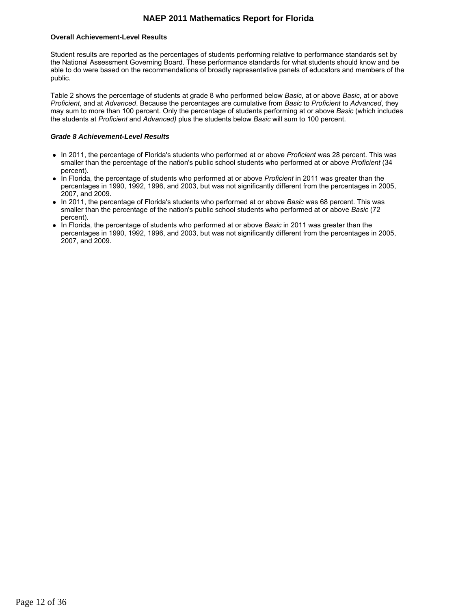#### **Overall Achievement-Level Results**

Student results are reported as the percentages of students performing relative to performance standards set by the National Assessment Governing Board. These performance standards for what students should know and be able to do were based on the recommendations of broadly representative panels of educators and members of the public.

Table 2 shows the percentage of students at grade 8 who performed below *Basic*, at or above *Basic*, at or above *Proficient*, and at *Advanced*. Because the percentages are cumulative from *Basic* to *Proficient* to *Advanced*, they may sum to more than 100 percent. Only the percentage of students performing at or above *Basic* (which includes the students at *Proficient* and *Advanced)* plus the students below *Basic* will sum to 100 percent.

#### *Grade 8 Achievement-Level Results*

- In 2011, the percentage of Florida's students who performed at or above *Proficient* was 28 percent. This was smaller than the percentage of the nation's public school students who performed at or above *Proficient* (34 percent).
- In Florida, the percentage of students who performed at or above *Proficient* in 2011 was greater than the percentages in 1990, 1992, 1996, and 2003, but was not significantly different from the percentages in 2005, 2007, and 2009.
- In 2011, the percentage of Florida's students who performed at or above *Basic* was 68 percent. This was smaller than the percentage of the nation's public school students who performed at or above *Basic* (72 percent).
- In Florida, the percentage of students who performed at or above *Basic* in 2011 was greater than the percentages in 1990, 1992, 1996, and 2003, but was not significantly different from the percentages in 2005, 2007, and 2009.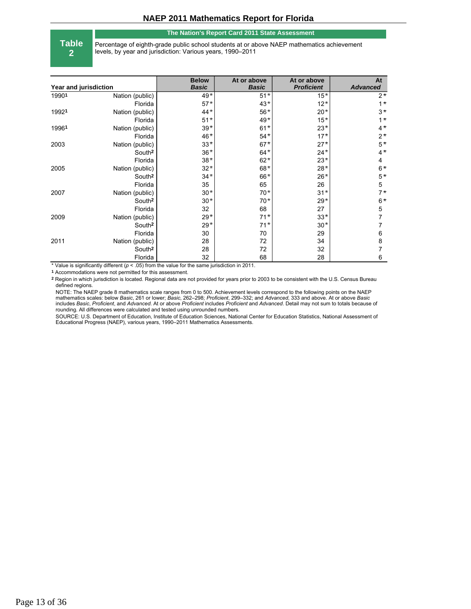#### **The Nation's Report Card 2011 State Assessment**

**Table 2**

Percentage of eighth-grade public school students at or above NAEP mathematics achievement levels, by year and jurisdiction: Various years, 1990–2011

| Year and jurisdiction |                    | <b>Below</b><br><b>Basic</b> | At or above<br><b>Basic</b> | At or above<br><b>Proficient</b> | At<br><b>Advanced</b> |
|-----------------------|--------------------|------------------------------|-----------------------------|----------------------------------|-----------------------|
| 19901                 | Nation (public)    | $49*$                        | $51*$                       | $15*$                            | $2*$                  |
|                       | Florida            | $57*$                        | $43*$                       | $12*$                            | $1^*$                 |
| 19921                 | Nation (public)    | $44*$                        | $56*$                       | $20*$                            | $3*$                  |
|                       | Florida            | $51*$                        | $49*$                       | $15*$                            | $1*$                  |
| 19961                 | Nation (public)    | $39*$                        | $61*$                       | $23*$                            | $4*$                  |
|                       | Florida            | 46*                          | $54*$                       | $17*$                            | $2*$                  |
| 2003                  | Nation (public)    | $33*$                        | $67*$                       | $27*$                            | $5*$                  |
|                       | South <sup>2</sup> | $36*$                        | $64*$                       | $24*$                            | $4*$                  |
|                       | Florida            | $38*$                        | $62*$                       | $23*$                            | 4                     |
| 2005                  | Nation (public)    | $32*$                        | $68*$                       | $28*$                            | $6*$                  |
|                       | South <sup>2</sup> | $34*$                        | 66*                         | $26*$                            | $5*$                  |
|                       | Florida            | 35                           | 65                          | 26                               | 5                     |
| 2007                  | Nation (public)    | $30*$                        | $70*$                       | $31*$                            | $7*$                  |
|                       | South <sup>2</sup> | $30*$                        | $70*$                       | $29*$                            | $6*$                  |
|                       | Florida            | 32                           | 68                          | 27                               | 5                     |
| 2009                  | Nation (public)    | $29*$                        | $71*$                       | $33*$                            | 7                     |
|                       | South <sup>2</sup> | $29*$                        | $71*$                       | $30*$                            |                       |
|                       | Florida            | 30                           | 70                          | 29                               | 6                     |
| 2011                  | Nation (public)    | 28                           | 72                          | 34                               | 8                     |
|                       | South <sup>2</sup> | 28                           | 72                          | 32                               |                       |
|                       | Florida            | 32                           | 68                          | 28                               | 6                     |

\* Value is significantly different (*p* < .05) from the value for the same jurisdiction in 2011.

**1** Accommodations were not permitted for this assessment.

**2** Region in which jurisdiction is located. Regional data are not provided for years prior to 2003 to be consistent with the U.S. Census Bureau defined regions.

NOTE: The NAEP grade 8 mathematics scale ranges from 0 to 500. Achievement levels correspond to the following points on the NAEP mathematics scales: below *Basic*, 261 or lower; *Basic*, 262–298; *Proficient*, 299–332; and *Advanced*, 333 and above. At or above *Basic* includes *Basic*, *Proficient*, and *Advanced*. At or above *Proficient* includes *Proficient* and *Advanced*. Detail may not sum to totals because of rounding. All differences were calculated and tested using unrounded numbers.

SOURCE: U.S. Department of Education, Institute of Education Sciences, National Center for Education Statistics, National Assessment of Educational Progress (NAEP), various years, 1990–2011 Mathematics Assessments.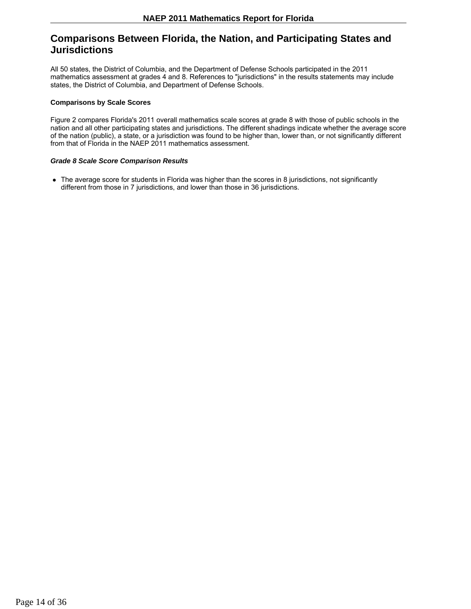# **Comparisons Between Florida, the Nation, and Participating States and Jurisdictions**

All 50 states, the District of Columbia, and the Department of Defense Schools participated in the 2011 mathematics assessment at grades 4 and 8. References to "jurisdictions" in the results statements may include states, the District of Columbia, and Department of Defense Schools.

#### **Comparisons by Scale Scores**

Figure 2 compares Florida's 2011 overall mathematics scale scores at grade 8 with those of public schools in the nation and all other participating states and jurisdictions. The different shadings indicate whether the average score of the nation (public), a state, or a jurisdiction was found to be higher than, lower than, or not significantly different from that of Florida in the NAEP 2011 mathematics assessment.

### *Grade 8 Scale Score Comparison Results*

• The average score for students in Florida was higher than the scores in 8 jurisdictions, not significantly different from those in 7 jurisdictions, and lower than those in 36 jurisdictions.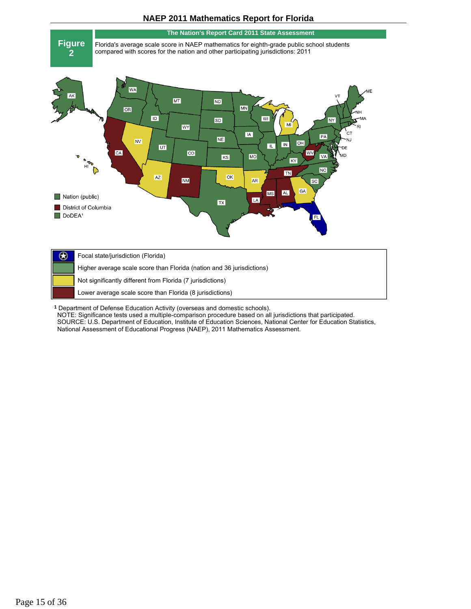

**<sup>1</sup>** Department of Defense Education Activity (overseas and domestic schools).

NOTE: Significance tests used a multiple-comparison procedure based on all jurisdictions that participated. SOURCE: U.S. Department of Education, Institute of Education Sciences, National Center for Education Statistics, National Assessment of Educational Progress (NAEP), 2011 Mathematics Assessment.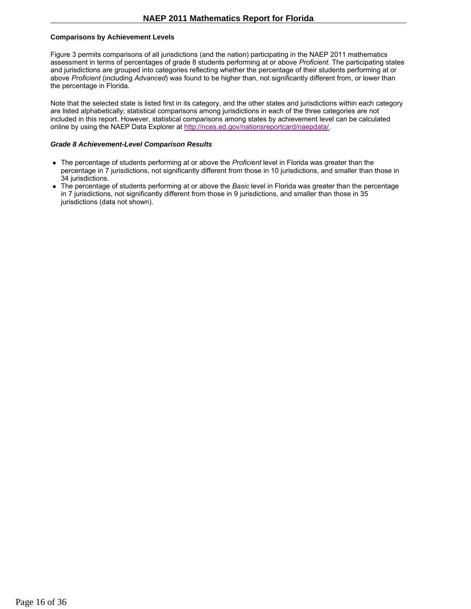### **Comparisons by Achievement Levels**

Figure 3 permits comparisons of all jurisdictions (and the nation) participating in the NAEP 2011 mathematics assessment in terms of percentages of grade 8 students performing at or above *Proficient*. The participating states and jurisdictions are grouped into categories reflecting whether the percentage of their students performing at or above *Proficient* (including *Advanced*) was found to be higher than, not significantly different from, or lower than the percentage in Florida.

Note that the selected state is listed first in its category, and the other states and jurisdictions within each category are listed alphabetically; statistical comparisons among jurisdictions in each of the three categories are not included in this report. However, statistical comparisons among states by achievement level can be calculated online by using the NAEP Data Explorer at http://nces.ed.gov/nationsreportcard/naepdata/.

#### *Grade 8 Achievement-Level Comparison Results*

- The percentage of students performing at or above the *Proficient* level in Florida was greater than the percentage in 7 jurisdictions, not significantly different from those in 10 jurisdictions, and smaller than those in 34 jurisdictions.
- The percentage of students performing at or above the *Basic* level in Florida was greater than the percentage in 7 jurisdictions, not significantly different from those in 9 jurisdictions, and smaller than those in 35 jurisdictions (data not shown).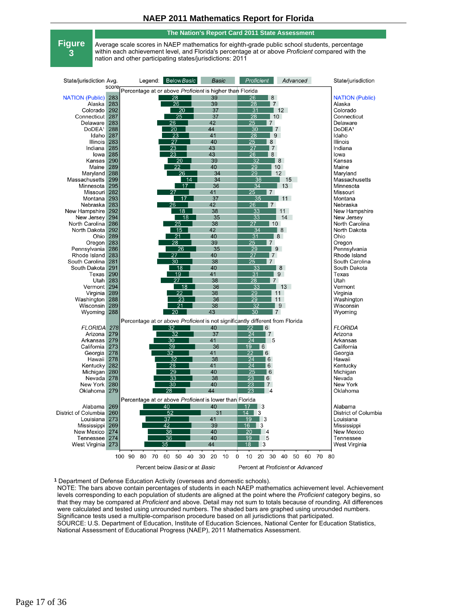#### **The Nation's Report Card 2011 State Assessment**

**Figure 3**

Average scale scores in NAEP mathematics for eighth-grade public school students, percentage within each achievement level, and Florida's percentage at or above *Proficient* compared with the nation and other participating states/jurisdictions: 2011

| State/jurisdiction Avg. |       |                                                          | Legend: Below Basic             | Basic          | Proficient                                                                    | Advanced                          | State/jurisdiction     |
|-------------------------|-------|----------------------------------------------------------|---------------------------------|----------------|-------------------------------------------------------------------------------|-----------------------------------|------------------------|
|                         | score | Percentage at or above Proficient is higher than Florida |                                 |                |                                                                               |                                   |                        |
| <b>NATION (Public)</b>  | 283   |                                                          | $\overline{28}$                 | 39             | $\overline{26}$<br>8                                                          |                                   | <b>NATION (Public)</b> |
| Alaska                  | 283   |                                                          | $\overline{26}$                 | 39             | 28<br>$\mathsf{I}$ 7                                                          |                                   | Alaska                 |
| Colorado                | 292   |                                                          | $\overline{20}$                 | 37             | 31                                                                            | 12                                | Colorado               |
| Connecticut             | 287   |                                                          | 25                              | 37             | 28<br>$\vert$ 10                                                              |                                   | Connecticut            |
| Delaware                | 283   |                                                          |                                 | 42             | 25<br>$\overline{7}$                                                          |                                   | Delaware               |
|                         | 288   |                                                          | 26                              | 44             | $\overline{30}$                                                               |                                   | DoDEA <sup>1</sup>     |
| DoDEA <sup>1</sup>      |       |                                                          | $\overline{20}$                 | 41             | 7<br>$\overline{28}$                                                          |                                   |                        |
| Idaho                   | 287   |                                                          | $\overline{23}$                 |                | 9                                                                             |                                   | Idaho                  |
| <b>Illinois</b>         | 283   |                                                          | $\overline{27}$                 | 40             | $\overline{25}$<br>8                                                          |                                   | <b>Illinois</b>        |
| Indiana                 | 285   |                                                          | $\overline{23}$                 | 43             | $\overline{27}$<br>l 7                                                        |                                   | Indiana                |
| lowa                    | 285   |                                                          | $\overline{23}$                 | 43             | $\overline{26}$<br>8                                                          |                                   | lowa                   |
| Kansas                  | 290   |                                                          | 20                              | 39             | 32                                                                            | 8                                 | Kansas                 |
| Maine                   | 289   |                                                          | 22                              | 40             | 29                                                                            | 10                                | Maine                  |
| Maryland                | 288   |                                                          | $\overline{26}$                 | 34             | $\overline{29}$                                                               | 12                                | Maryland               |
| Massachusetts           | 299   |                                                          | 14                              | 34             | $\overline{36}$                                                               | 15                                | Massachusetts          |
| Minnesota               | 295   |                                                          | 17                              | 36             | $\overline{34}$                                                               | 13                                | Minnesota              |
| Missouri                | 282   |                                                          | 27                              | 41             | 25<br>$\vert$ 7                                                               |                                   | Missouri               |
| Montana                 | 293   |                                                          | $\overline{17}$                 | 37             | 35                                                                            | 11                                | Montana                |
| Nebraska                | 283   |                                                          | 26                              | 42             | 26<br>l 7                                                                     |                                   | Nebraska               |
| New Hampshire           | 292   |                                                          | 18                              | 38             | 33                                                                            | 11                                | New Hampshire          |
| New Jersey              | 294   |                                                          | 18                              | 35             | $\overline{33}$                                                               | 14                                | New Jersey             |
| North Carolina          | 286   |                                                          | 25                              | 38             | 27<br>$\vert$ 10                                                              |                                   | North Carolina         |
| North Dakota            | 292   |                                                          | $\overline{15}$                 | 42             | $\overline{34}$                                                               | 8                                 | North Dakota           |
| Ohio                    | 289   |                                                          | $\overline{21}$                 | 40             | $\overline{31}$                                                               | 8                                 | Ohio                   |
| Oregon                  | 283   |                                                          | $\overline{28}$                 | 39             | $\overline{25}$<br>$\overline{7}$                                             |                                   | Oregon                 |
| Pennsylvania            | 286   |                                                          | 26                              | 35             | 29<br>$\blacksquare$                                                          |                                   | Pennsylvania           |
| Rhode Island            | 283   |                                                          | 27                              | 40             | 27<br>l 7                                                                     |                                   | Rhode Island           |
| South Carolina          | 281   |                                                          | 30                              | 38             | $\overline{25}$<br>$\vert$ 7                                                  |                                   | South Carolina         |
| South Dakota            | 291   |                                                          | 18                              | 40             | $\overline{33}$                                                               | 8                                 | South Dakota           |
| Texas                   | 290   |                                                          | $\overline{19}$                 | 41             | $\overline{31}$                                                               | 9                                 | Texas                  |
| Utah <sup>1</sup>       | 283   |                                                          | $\overline{27}$                 | 38             | $\overline{28}$<br>l 7                                                        |                                   | Utah                   |
| Vermont                 | 294   |                                                          | $\overline{18}$                 | 36             | $\overline{33}$                                                               | 13                                | Vermont                |
| Virginia                | 289   |                                                          | 22                              | 38             | 29                                                                            | 11                                | Virginia               |
| Washington              | 288   |                                                          | 23                              | 36             | 29                                                                            | 11                                | Washington             |
| Wisconsin               | 289   |                                                          | $\overline{21}$                 | 38             | $\overline{32}$                                                               | 9                                 | Wisconsin              |
| Wyoming                 | 288   |                                                          | 20                              | 43             | $\overline{30}$<br>l 7                                                        |                                   | Wyoming                |
|                         |       |                                                          |                                 |                |                                                                               |                                   |                        |
|                         |       |                                                          |                                 |                | Percentage at or above Proficient is not significantly different from Florida |                                   |                        |
| <b>FLORIDA</b>          | 278   |                                                          | 32                              | 40             | 22<br>6                                                                       |                                   | <b>FLORIDA</b>         |
| Arizona                 | 279   |                                                          | $\overline{32}$                 | 37             | $\overline{24}$<br>$\overline{7}$                                             |                                   | Arizona                |
| Arkansas                | 279   |                                                          | $\overline{30}$                 | 41             | $\overline{24}$<br>- 5                                                        |                                   | Arkansas               |
| California              | 273   |                                                          | 39                              | 36             | 19<br>6                                                                       |                                   | California             |
| Georgia                 | 278   |                                                          | $\overline{32}$                 | 41             | 22<br>6                                                                       |                                   | Georgia                |
| Hawaii                  | 278   |                                                          | 32                              | 38             | 24<br>l 6                                                                     |                                   | Hawaii                 |
| Kentucky                | 282   |                                                          | 28                              | 41             | 24<br>6                                                                       |                                   | Kentucky               |
| Michigan                | 280   |                                                          | $\overline{29}$                 | 40             | 25<br>  6                                                                     |                                   | Michigan               |
| Nevada                  | 278   |                                                          | $\overline{33}$                 | 38             | $\overline{23}$<br>6                                                          |                                   | Nevada                 |
| New York                | 280   |                                                          | $\overline{30}$                 | 40             | $\overline{23}$<br>$\overline{7}$                                             |                                   | New York               |
| Oklahoma                | 279   |                                                          | 28                              | 44             | 23<br>$\overline{4}$                                                          |                                   | Oklahoma               |
|                         |       |                                                          |                                 |                |                                                                               |                                   |                        |
|                         |       | Percentage at or above Proficient is lower than Florida  |                                 |                |                                                                               |                                   |                        |
| Alabama                 | 269   |                                                          | 40                              | 40             | $17 \quad \boxed{3}$                                                          |                                   | Alabama                |
| District of Columbia    | 260   |                                                          | 52                              | 31             | $14$ 3                                                                        |                                   | District of Columbia   |
| Louisiana               | 273   |                                                          | 37                              | 41             | $\overline{19}$<br>-3                                                         |                                   | Louisiana              |
| Mississippi             | 269   |                                                          | 42                              | 39             | 3<br>16                                                                       |                                   | Mississippi            |
| New Mexico              | 274   |                                                          | 36                              | 40             | 20<br>$\overline{4}$                                                          |                                   | <b>New Mexico</b>      |
| Tennessee               | 274   |                                                          | $\overline{36}$                 | 40             | $\overline{19}$<br>5                                                          |                                   | <b>Tennessee</b>       |
| West Virginia           | 273   |                                                          | 35                              | 44             | 3<br>18                                                                       |                                   | West Virginia          |
|                         |       |                                                          |                                 |                |                                                                               |                                   |                        |
|                         |       | 100 90<br>70<br>80                                       | 60<br>50<br>40                  | 30<br>20<br>10 | 10<br>20<br>30<br>0                                                           | 40<br>50<br>60<br>70              | 80                     |
|                         |       |                                                          |                                 |                |                                                                               | Percent at Proficient or Advanced |                        |
|                         |       |                                                          | Percent below Basic or at Basic |                |                                                                               |                                   |                        |

**<sup>1</sup>** Department of Defense Education Activity (overseas and domestic schools).

NOTE: The bars above contain percentages of students in each NAEP mathematics achievement level. Achievement levels corresponding to each population of students are aligned at the point where the *Proficient* category begins, so that they may be compared at *Proficient* and above. Detail may not sum to totals because of rounding. All differences were calculated and tested using unrounded numbers. The shaded bars are graphed using unrounded numbers. Significance tests used a multiple-comparison procedure based on all jurisdictions that participated. SOURCE: U.S. Department of Education, Institute of Education Sciences, National Center for Education Statistics, National Assessment of Educational Progress (NAEP), 2011 Mathematics Assessment.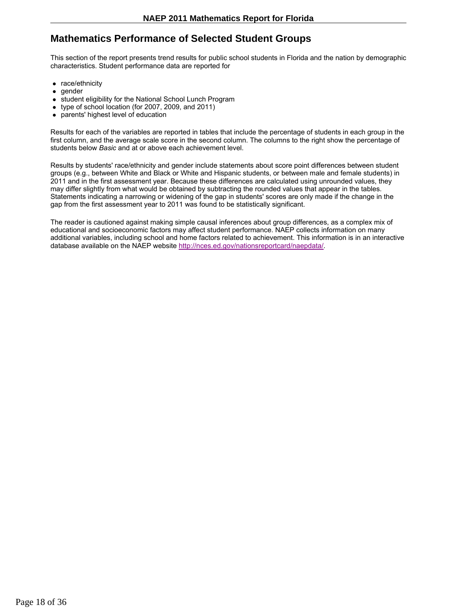# **Mathematics Performance of Selected Student Groups**

This section of the report presents trend results for public school students in Florida and the nation by demographic characteristics. Student performance data are reported for

- race/ethnicity
- gender
- student eligibility for the National School Lunch Program
- type of school location (for 2007, 2009, and 2011)
- parents' highest level of education

Results for each of the variables are reported in tables that include the percentage of students in each group in the first column, and the average scale score in the second column. The columns to the right show the percentage of students below *Basic* and at or above each achievement level.

Results by students' race/ethnicity and gender include statements about score point differences between student groups (e.g., between White and Black or White and Hispanic students, or between male and female students) in 2011 and in the first assessment year. Because these differences are calculated using unrounded values, they may differ slightly from what would be obtained by subtracting the rounded values that appear in the tables. Statements indicating a narrowing or widening of the gap in students' scores are only made if the change in the gap from the first assessment year to 2011 was found to be statistically significant.

The reader is cautioned against making simple causal inferences about group differences, as a complex mix of educational and socioeconomic factors may affect student performance. NAEP collects information on many additional variables, including school and home factors related to achievement. This information is in an interactive database available on the NAEP website http://nces.ed.gov/nationsreportcard/naepdata/.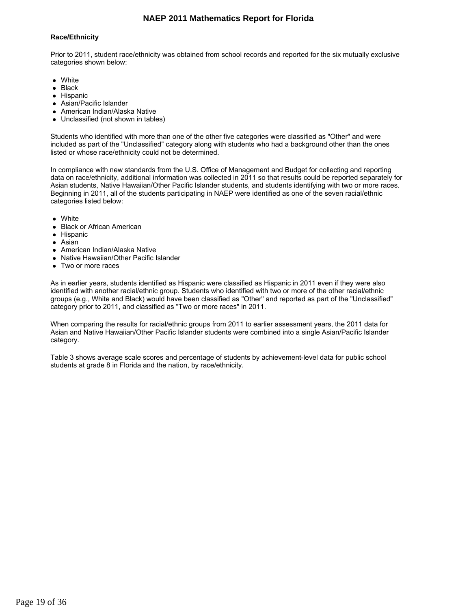### **Race/Ethnicity**

Prior to 2011, student race/ethnicity was obtained from school records and reported for the six mutually exclusive categories shown below:

- White
- Black
- Hispanic
- Asian/Pacific Islander
- American Indian/Alaska Native
- Unclassified (not shown in tables)

Students who identified with more than one of the other five categories were classified as "Other" and were included as part of the "Unclassified" category along with students who had a background other than the ones listed or whose race/ethnicity could not be determined.

In compliance with new standards from the U.S. Office of Management and Budget for collecting and reporting data on race/ethnicity, additional information was collected in 2011 so that results could be reported separately for Asian students, Native Hawaiian/Other Pacific Islander students, and students identifying with two or more races. Beginning in 2011, all of the students participating in NAEP were identified as one of the seven racial/ethnic categories listed below:

- White
- Black or African American
- Hispanic
- Asian
- American Indian/Alaska Native
- Native Hawaiian/Other Pacific Islander
- Two or more races

As in earlier years, students identified as Hispanic were classified as Hispanic in 2011 even if they were also identified with another racial/ethnic group. Students who identified with two or more of the other racial/ethnic groups (e.g., White and Black) would have been classified as "Other" and reported as part of the "Unclassified" category prior to 2011, and classified as "Two or more races" in 2011.

When comparing the results for racial/ethnic groups from 2011 to earlier assessment years, the 2011 data for Asian and Native Hawaiian/Other Pacific Islander students were combined into a single Asian/Pacific Islander category.

Table 3 shows average scale scores and percentage of students by achievement-level data for public school students at grade 8 in Florida and the nation, by race/ethnicity.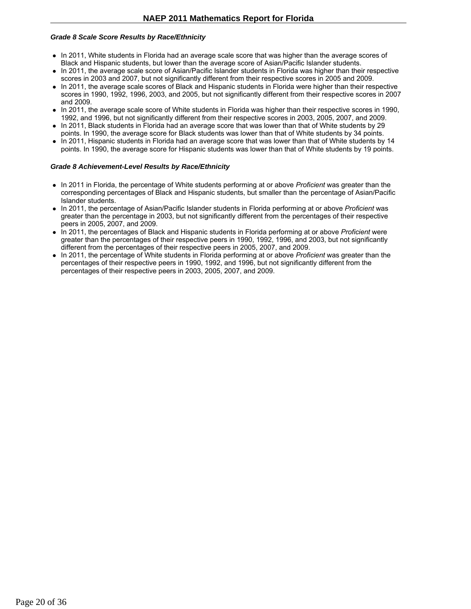### *Grade 8 Scale Score Results by Race/Ethnicity*

- In 2011, White students in Florida had an average scale score that was higher than the average scores of Black and Hispanic students, but lower than the average score of Asian/Pacific Islander students.
- In 2011, the average scale score of Asian/Pacific Islander students in Florida was higher than their respective scores in 2003 and 2007, but not significantly different from their respective scores in 2005 and 2009.
- In 2011, the average scale scores of Black and Hispanic students in Florida were higher than their respective scores in 1990, 1992, 1996, 2003, and 2005, but not significantly different from their respective scores in 2007 and 2009.
- In 2011, the average scale score of White students in Florida was higher than their respective scores in 1990, 1992, and 1996, but not significantly different from their respective scores in 2003, 2005, 2007, and 2009.
- In 2011, Black students in Florida had an average score that was lower than that of White students by 29 points. In 1990, the average score for Black students was lower than that of White students by 34 points.
- In 2011, Hispanic students in Florida had an average score that was lower than that of White students by 14 points. In 1990, the average score for Hispanic students was lower than that of White students by 19 points.

### *Grade 8 Achievement-Level Results by Race/Ethnicity*

- In 2011 in Florida, the percentage of White students performing at or above *Proficient* was greater than the corresponding percentages of Black and Hispanic students, but smaller than the percentage of Asian/Pacific Islander students.
- In 2011, the percentage of Asian/Pacific Islander students in Florida performing at or above *Proficient* was greater than the percentage in 2003, but not significantly different from the percentages of their respective peers in 2005, 2007, and 2009.
- In 2011, the percentages of Black and Hispanic students in Florida performing at or above *Proficient* were greater than the percentages of their respective peers in 1990, 1992, 1996, and 2003, but not significantly different from the percentages of their respective peers in 2005, 2007, and 2009.
- In 2011, the percentage of White students in Florida performing at or above *Proficient* was greater than the percentages of their respective peers in 1990, 1992, and 1996, but not significantly different from the percentages of their respective peers in 2003, 2005, 2007, and 2009.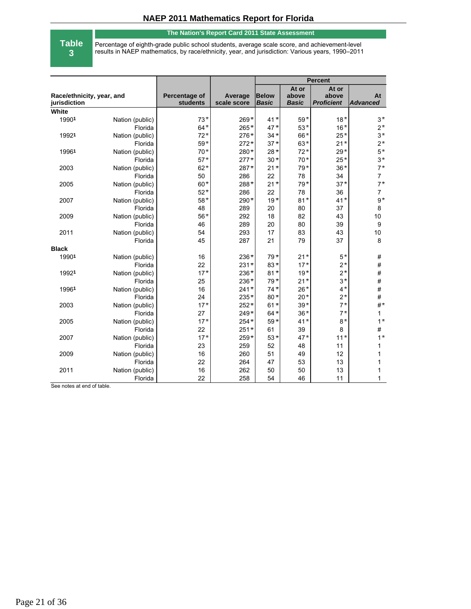#### **The Nation's Report Card 2011 State Assessment**

**Table 3**

Percentage of eighth-grade public school students, average scale score, and achievement-level results in NAEP mathematics, by race/ethnicity, year, and jurisdiction: Various years, 1990–2011

|                                           |                 |                           |                        | <b>Percent</b>               |                                |                                     |                       |
|-------------------------------------------|-----------------|---------------------------|------------------------|------------------------------|--------------------------------|-------------------------------------|-----------------------|
| Race/ethnicity, year, and<br>jurisdiction |                 | Percentage of<br>students | Average<br>scale score | <b>Below</b><br><b>Basic</b> | At or<br>above<br><b>Basic</b> | At or<br>above<br><b>Proficient</b> | At<br><b>Advanced</b> |
| White                                     |                 |                           |                        |                              |                                |                                     |                       |
| 19901                                     | Nation (public) | $73*$                     | $269*$                 | $41*$                        | $59*$                          | $18*$                               | $3*$                  |
|                                           | Florida         | $64*$                     | $265*$                 | $47*$                        | $53*$                          | $16*$                               | $2^*$                 |
| 19921                                     | Nation (public) | $72*$                     | $276*$                 | $34*$                        | 66*                            | $25*$                               | $3*$                  |
|                                           | Florida         | $59*$                     | $272*$                 | $37*$                        | $63*$                          | $21*$                               | $2^*$                 |
| 19961                                     | Nation (public) | $70*$                     | 280*                   | $28*$                        | $72*$                          | $29*$                               | $5*$                  |
|                                           | Florida         | $57*$                     | $277*$                 | $30*$                        | $70*$                          | $25*$                               | $3*$                  |
| 2003                                      | Nation (public) | $62*$                     | 287*                   | $21*$                        | $79*$                          | $36*$                               | $7*$                  |
|                                           | Florida         | 50                        | 286                    | 22                           | 78                             | 34                                  | $\overline{7}$        |
| 2005                                      | Nation (public) | $60*$                     | 288*                   | $21*$                        | $79*$                          | $37*$                               | $7*$                  |
|                                           | Florida         | $52*$                     | 286                    | 22                           | 78                             | 36                                  | $\overline{7}$        |
| 2007                                      | Nation (public) | $58*$                     | 290*                   | $19*$                        | $81*$                          | $41*$                               | $9*$                  |
|                                           | Florida         | 48                        | 289                    | 20                           | 80                             | 37                                  | 8                     |
| 2009                                      | Nation (public) | $56*$                     | 292                    | 18                           | 82                             | 43                                  | 10                    |
|                                           | Florida         | 46                        | 289                    | 20                           | 80                             | 39                                  | 9                     |
| 2011                                      | Nation (public) | 54                        | 293                    | 17                           | 83                             | 43                                  | 10                    |
|                                           | Florida         | 45                        | 287                    | 21                           | 79                             | 37                                  | 8                     |
| <b>Black</b>                              |                 |                           |                        |                              |                                |                                     |                       |
| 19901                                     | Nation (public) | 16                        | $236*$                 | $79*$                        | $21*$                          | $5*$                                | $\#$                  |
|                                           | Florida         | 22                        | $231*$                 | $83*$                        | $17*$                          | $2*$                                | $\#$                  |
| 19921                                     | Nation (public) | $17*$                     | $236*$                 | $81*$                        | $19*$                          | $2*$                                | $\#$                  |
|                                           | Florida         | 25                        | $236*$                 | $79*$                        | $21*$                          | $3*$                                | $\#$                  |
| 19961                                     | Nation (public) | 16                        | $241*$                 | $74*$                        | $26*$                          | $4*$                                | $\#$                  |
|                                           | Florida         | 24                        | $235*$                 | $80*$                        | $20*$                          | $2*$                                | $\#$                  |
| 2003                                      | Nation (public) | $17*$                     | $252*$                 | $61*$                        | $39*$                          | $7*$                                | $#^*$                 |
|                                           | Florida         | 27                        | $249*$                 | $64*$                        | $36*$                          | $7*$                                | $\mathbf{1}$          |
| 2005                                      | Nation (public) | $17*$                     | $254*$                 | $59*$                        | $41*$                          | $8*$                                | $1^{\star}$           |
|                                           | Florida         | 22                        | $251*$                 | 61                           | 39                             | 8                                   | $\#$                  |
| 2007                                      | Nation (public) | $17*$                     | $259*$                 | $53*$                        | $47*$                          | $11*$                               | $1^{\star}$           |
|                                           | Florida         | 23                        | 259                    | 52                           | 48                             | 11                                  | 1                     |
| 2009                                      | Nation (public) | 16                        | 260                    | 51                           | 49                             | 12                                  | 1                     |
|                                           | Florida         | 22                        | 264                    | 47                           | 53                             | 13                                  | 1                     |
| 2011                                      | Nation (public) | 16                        | 262                    | 50                           | 50                             | 13                                  | 1                     |
|                                           | Florida         | 22                        | 258                    | 54                           | 46                             | 11                                  | 1                     |

See notes at end of table.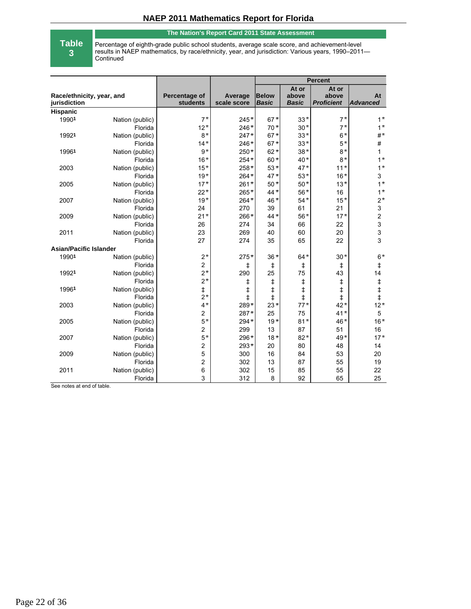### **The Nation's Report Card 2011 State Assessment**

**Table**

**3**

Percentage of eighth-grade public school students, average scale score, and achievement-level results in NAEP mathematics, by race/ethnicity, year, and jurisdiction: Various years, 1990–2011— Continued

|                               |                            |                         |             | <b>Percent</b> |              |                   |                                                                                               |
|-------------------------------|----------------------------|-------------------------|-------------|----------------|--------------|-------------------|-----------------------------------------------------------------------------------------------|
|                               |                            |                         |             |                | At or        | At or             |                                                                                               |
| Race/ethnicity, year, and     |                            | Percentage of           | Average     | <b>Below</b>   | above        | above             | At                                                                                            |
| jurisdiction                  |                            | students                | scale score | <b>Basic</b>   | <b>Basic</b> | <b>Proficient</b> | <b>Advanced</b>                                                                               |
| <b>Hispanic</b><br>19901      |                            | $7^{\star}$             | $245*$      | $67*$          | $33*$        | $7^{\star}$       | $1^{\star}$                                                                                   |
|                               | Nation (public)<br>Florida | $12*$                   | $246*$      | $70*$          | $30+$        | $7^{\star}$       | $1^{\star}$                                                                                   |
| 19921                         | Nation (public)            | $8*$                    | $247*$      | $67*$          | $33*$        | $6*$              | $\#^{\star}$                                                                                  |
|                               | Florida                    | $14*$                   | $246*$      | $67*$          | $33*$        | $5*$              | $\#$                                                                                          |
| 19961                         | Nation (public)            | $9^{\star}$             | $250*$      | $62*$          | $38*$        | $8*$              | $\mathbf{1}$                                                                                  |
|                               | Florida                    | $16*$                   | $254*$      | $60*$          | $40*$        | $8*$              | $1^{\star}$                                                                                   |
| 2003                          | Nation (public)            | $15*$                   | 258*        | $53*$          | $47*$        | $11*$             | $1^{\star}$                                                                                   |
|                               | Florida                    | $19*$                   | $264*$      | $47*$          | $53*$        | $16*$             | 3                                                                                             |
| 2005                          | Nation (public)            | $17*$                   | $261*$      | $50*$          | $50*$        | $13*$             | $1^{\star}$                                                                                   |
|                               | Florida                    | $22*$                   | 265*        | $44*$          | $56*$        | 16                | $1^{\star}$                                                                                   |
| 2007                          | Nation (public)            | $19*$                   | $264*$      | 46*            | $54*$        | $15*$             | $2*$                                                                                          |
|                               | Florida                    | 24                      | 270         | 39             | 61           | 21                | $\mathsf 3$                                                                                   |
| 2009                          | Nation (public)            | $21*$                   | 266*        | $44*$          | $56*$        | $17*$             | $\overline{c}$                                                                                |
|                               | Florida                    | 26                      | 274         | 34             | 66           | 22                | $\mathsf 3$                                                                                   |
| 2011                          | Nation (public)            | 23                      | 269         | 40             | 60           | 20                | 3                                                                                             |
|                               | Florida                    | 27                      | 274         | 35             | 65           | 22                | 3                                                                                             |
| <b>Asian/Pacific Islander</b> |                            |                         |             |                |              |                   |                                                                                               |
| 19901                         | Nation (public)            | $2*$                    | $275*$      | $36*$          | $64*$        | $30*$             | $6*$                                                                                          |
|                               | Florida                    | $\overline{c}$          | ŧ           | $\ddagger$     | $\ddagger$   | ŧ                 | $\ddagger$                                                                                    |
| 19921                         | Nation (public)            | $2*$                    | 290         | 25             | 75           | 43                | 14                                                                                            |
|                               | Florida                    | $2*$                    | ŧ           | ŧ              | ŧ            | ŧ                 |                                                                                               |
| 19961                         | Nation (public)            | $\ddagger$              | $\ddagger$  | $\ddagger$     | $\ddagger$   | $\ddagger$        | $\begin{array}{c} \n\textcolor{red}{\downarrow} \\ \n\textcolor{red}{\downarrow} \end{array}$ |
|                               | Florida                    | $2*$                    | $\ddagger$  | $\ddagger$     | $\ddagger$   | $\ddagger$        | $\ddagger$                                                                                    |
| 2003                          | Nation (public)            | $4^{\star}$             | 289*        | $23*$          | $77*$        | $42*$             | $12*$                                                                                         |
|                               | Florida                    | 2                       | 287*        | 25             | 75           | $41*$             | $\sqrt{5}$                                                                                    |
| 2005                          | Nation (public)            | $5*$                    | $294*$      | $19*$          | $81*$        | 46*               | $16*$                                                                                         |
|                               | Florida                    | $\overline{c}$          | 299         | 13             | 87           | 51                | 16                                                                                            |
| 2007                          | Nation (public)            | $5*$                    | 296*        | $18*$          | $82*$        | $49*$             | $17*$                                                                                         |
|                               | Florida                    | 2                       | $293*$      | 20             | 80           | 48                | 14                                                                                            |
| 2009                          | Nation (public)            | 5                       | 300         | 16             | 84           | 53                | 20                                                                                            |
|                               | Florida                    | $\overline{\mathbf{c}}$ | 302         | 13             | 87           | 55                | 19                                                                                            |
| 2011                          | Nation (public)            | 6                       | 302         | 15             | 85           | 55                | 22                                                                                            |
|                               | Florida                    | 3                       | 312         | 8              | 92           | 65                | 25                                                                                            |

See notes at end of table.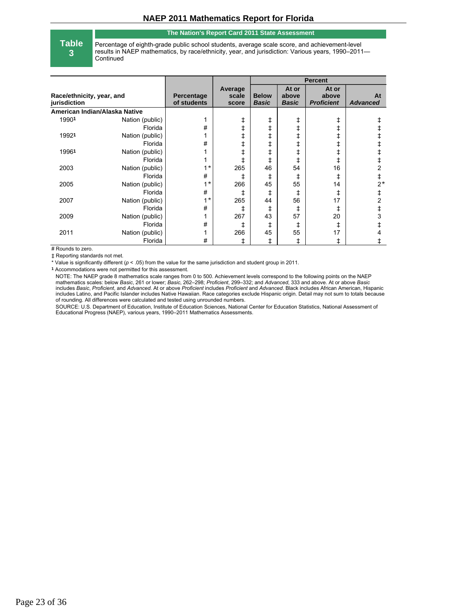#### **The Nation's Report Card 2011 State Assessment**

**Table 3**

Percentage of eighth-grade public school students, average scale score, and achievement-level results in NAEP mathematics, by race/ethnicity, year, and jurisdiction: Various years, 1990–2011— **Continued** 

|                                           |                 |                           |                           | <b>Percent</b>               |                                |                                     |                       |
|-------------------------------------------|-----------------|---------------------------|---------------------------|------------------------------|--------------------------------|-------------------------------------|-----------------------|
| Race/ethnicity, year, and<br>jurisdiction |                 | Percentage<br>of students | Average<br>scale<br>score | <b>Below</b><br><b>Basic</b> | At or<br>above<br><b>Basic</b> | At or<br>above<br><b>Proficient</b> | At<br><b>Advanced</b> |
| American Indian/Alaska Native             |                 |                           |                           |                              |                                |                                     |                       |
| 19901                                     | Nation (public) | 1                         | ŧ                         | ŧ                            | ŧ                              | ŧ                                   |                       |
|                                           | Florida         | #                         | ŧ                         | ŧ                            | ŧ                              | ŧ                                   |                       |
| 19921                                     | Nation (public) | 1                         | ŧ                         | ŧ                            | ŧ                              | ŧ                                   |                       |
|                                           | Florida         | #                         | ŧ                         | ŧ                            | ŧ                              | ŧ                                   |                       |
| 19961                                     | Nation (public) | 1                         | ŧ                         | ŧ                            | ŧ                              | ŧ                                   |                       |
|                                           | Florida         | 4                         | ŧ                         | ŧ                            | ŧ                              | ŧ                                   |                       |
| 2003                                      | Nation (public) | $1^{\star}$               | 265                       | 46                           | 54                             | 16                                  | 2                     |
|                                           | Florida         | #                         | ŧ                         | ŧ                            | ŧ                              | ŧ                                   | ŧ                     |
| 2005                                      | Nation (public) | $1^{\star}$               | 266                       | 45                           | 55                             | 14                                  | $2*$                  |
|                                           | Florida         | #                         | ŧ                         | ŧ                            | ŧ                              | ŧ                                   |                       |
| 2007                                      | Nation (public) | $1^{\star}$               | 265                       | 44                           | 56                             | 17                                  | 2                     |
|                                           | Florida         | #                         | ŧ                         | ŧ                            | ŧ                              | ŧ                                   |                       |
| 2009                                      | Nation (public) | 1                         | 267                       | 43                           | 57                             | 20                                  | 3                     |
|                                           | Florida         | #                         | ŧ                         | ŧ                            | ŧ                              | ŧ                                   |                       |
| 2011                                      | Nation (public) | 1                         | 266                       | 45                           | 55                             | 17                                  |                       |
|                                           | Florida         | #                         | ŧ                         | ŧ                            | ŧ                              | ŧ                                   | ŧ                     |

# Rounds to zero.

‡ Reporting standards not met.

\* Value is significantly different (*p* < .05) from the value for the same jurisdiction and student group in 2011.

**1** Accommodations were not permitted for this assessment.

NOTE: The NAEP grade 8 mathematics scale ranges from 0 to 500. Achievement levels correspond to the following points on the NAEP mathematics scales: below *Basic*, 261 or lower; *Basic*, 262–298; *Proficient*, 299–332; and *Advanced*, 333 and above. At or above *Basic* includes *Basic*, *Proficient*, and *Advanced*. At or above *Proficient* includes *Proficient* and *Advanced*. Black includes African American, Hispanic includes Latino, and Pacific Islander includes Native Hawaiian. Race categories exclude Hispanic origin. Detail may not sum to totals because of rounding. All differences were calculated and tested using unrounded numbers.

SOURCE: U.S. Department of Education, Institute of Education Sciences, National Center for Education Statistics, National Assessment of Educational Progress (NAEP), various years, 1990–2011 Mathematics Assessments.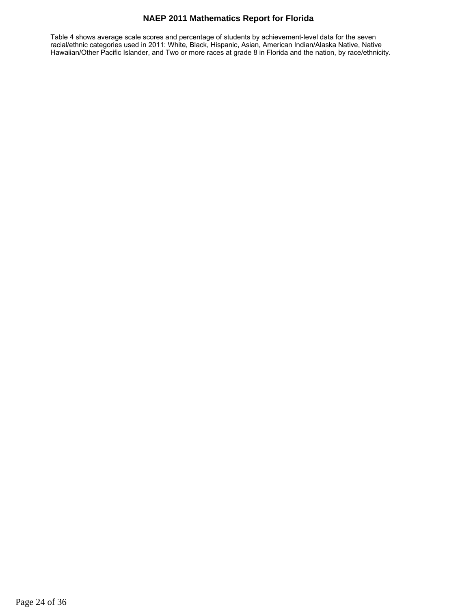Table 4 shows average scale scores and percentage of students by achievement-level data for the seven racial/ethnic categories used in 2011: White, Black, Hispanic, Asian, American Indian/Alaska Native, Native Hawaiian/Other Pacific Islander, and Two or more races at grade 8 in Florida and the nation, by race/ethnicity.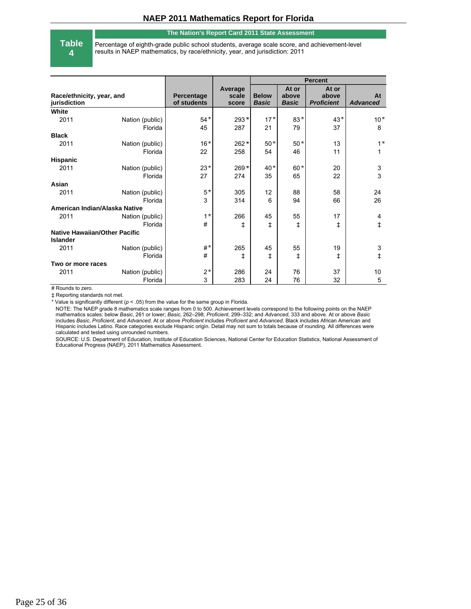#### **The Nation's Report Card 2011 State Assessment**

**Table 4**

Percentage of eighth-grade public school students, average scale score, and achievement-level results in NAEP mathematics, by race/ethnicity, year, and jurisdiction: 2011

|                                                         |                 |                           |                           | <b>Percent</b>               |                                |                                     |                           |
|---------------------------------------------------------|-----------------|---------------------------|---------------------------|------------------------------|--------------------------------|-------------------------------------|---------------------------|
| Race/ethnicity, year, and<br>jurisdiction               |                 | Percentage<br>of students | Average<br>scale<br>score | <b>Below</b><br><b>Basic</b> | At or<br>above<br><b>Basic</b> | At or<br>above<br><b>Proficient</b> | At<br><b>Advanced</b>     |
| White                                                   |                 |                           |                           |                              |                                |                                     |                           |
| 2011                                                    | Nation (public) | $54*$                     | $293*$                    | $17*$                        | $83*$                          | $43*$                               | $10*$                     |
|                                                         | Florida         | 45                        | 287                       | 21                           | 79                             | 37                                  | 8                         |
| <b>Black</b>                                            |                 |                           |                           |                              |                                |                                     |                           |
| 2011                                                    | Nation (public) | $16*$                     | $262*$                    | $50*$                        | $50*$                          | 13                                  | $1^{\star}$               |
|                                                         | Florida         | 22                        | 258                       | 54                           | 46                             | 11                                  | 1                         |
| <b>Hispanic</b>                                         |                 |                           |                           |                              |                                |                                     |                           |
| 2011                                                    | Nation (public) | $23*$                     | $269*$                    | $40*$                        | $60*$                          | 20                                  | $\ensuremath{\mathsf{3}}$ |
|                                                         | Florida         | 27                        | 274                       | 35                           | 65                             | 22                                  | 3                         |
| Asian                                                   |                 |                           |                           |                              |                                |                                     |                           |
| 2011                                                    | Nation (public) | $5*$                      | 305                       | 12                           | 88                             | 58                                  | 24                        |
|                                                         | Florida         | 3                         | 314                       | 6                            | 94                             | 66                                  | 26                        |
| American Indian/Alaska Native                           |                 |                           |                           |                              |                                |                                     |                           |
| 2011                                                    | Nation (public) | $1^{\star}$               | 266                       | 45                           | 55                             | 17                                  | 4                         |
|                                                         | Florida         | #                         | ŧ                         | ŧ                            | ŧ                              | ŧ                                   | $\ddagger$                |
| <b>Native Hawaiian/Other Pacific</b><br><b>Islander</b> |                 |                           |                           |                              |                                |                                     |                           |
| 2011                                                    | Nation (public) | $#^*$                     | 265                       | 45                           | 55                             | 19                                  | 3                         |
|                                                         | Florida         | #                         | ŧ                         | ŧ                            | ŧ                              | ŧ                                   | ŧ                         |
| Two or more races                                       |                 |                           |                           |                              |                                |                                     |                           |
| 2011                                                    | Nation (public) | $2^{\,*}$                 | 286                       | 24                           | 76                             | 37                                  | 10                        |
|                                                         | Florida         | 3                         | 283                       | 24                           | 76                             | 32                                  | 5                         |

# Rounds to zero.

‡ Reporting standards not met.

\* Value is significantly different (*p* < .05) from the value for the same group in Florida.

NOTE: The NAEP grade 8 mathematics scale ranges from 0 to 500. Achievement levels correspond to the following points on the NAEP mathematics scales: below *Basic*, 261 or lower; *Basic*, 262–298; *Proficient*, 299–332; and *Advanced*, 333 and above. At or above *Basic* includes *Basic*, *Proficient*, and *Advanced*. At or above *Proficient* includes *Proficient* and *Advanced*. Black includes African American and Hispanic includes Latino. Race categories exclude Hispanic origin. Detail may not sum to totals because of rounding. All differences were calculated and tested using unrounded numbers.

SOURCE: U.S. Department of Education, Institute of Education Sciences, National Center for Education Statistics, National Assessment of Educational Progress (NAEP), 2011 Mathematics Assessment.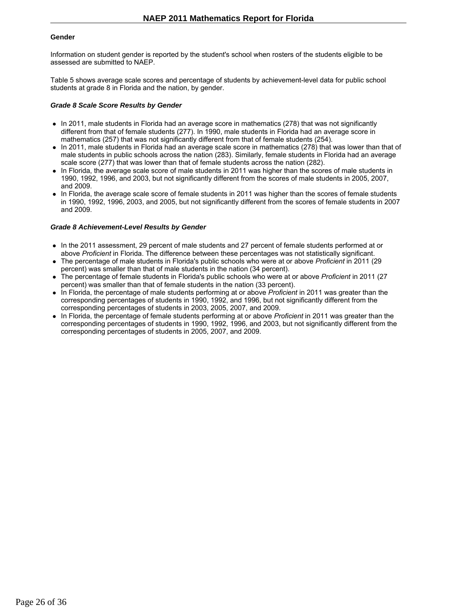#### **Gender**

Information on student gender is reported by the student's school when rosters of the students eligible to be assessed are submitted to NAEP.

Table 5 shows average scale scores and percentage of students by achievement-level data for public school students at grade 8 in Florida and the nation, by gender.

#### *Grade 8 Scale Score Results by Gender*

- In 2011, male students in Florida had an average score in mathematics (278) that was not significantly different from that of female students (277). In 1990, male students in Florida had an average score in mathematics (257) that was not significantly different from that of female students (254).
- In 2011, male students in Florida had an average scale score in mathematics (278) that was lower than that of male students in public schools across the nation (283). Similarly, female students in Florida had an average scale score (277) that was lower than that of female students across the nation (282).
- In Florida, the average scale score of male students in 2011 was higher than the scores of male students in 1990, 1992, 1996, and 2003, but not significantly different from the scores of male students in 2005, 2007, and 2009.
- In Florida, the average scale score of female students in 2011 was higher than the scores of female students in 1990, 1992, 1996, 2003, and 2005, but not significantly different from the scores of female students in 2007 and 2009.

### *Grade 8 Achievement-Level Results by Gender*

- In the 2011 assessment, 29 percent of male students and 27 percent of female students performed at or above *Proficient* in Florida. The difference between these percentages was not statistically significant.
- The percentage of male students in Florida's public schools who were at or above *Proficient* in 2011 (29 percent) was smaller than that of male students in the nation (34 percent).
- The percentage of female students in Florida's public schools who were at or above *Proficient* in 2011 (27 percent) was smaller than that of female students in the nation (33 percent).
- In Florida, the percentage of male students performing at or above *Proficient* in 2011 was greater than the corresponding percentages of students in 1990, 1992, and 1996, but not significantly different from the corresponding percentages of students in 2003, 2005, 2007, and 2009.
- In Florida, the percentage of female students performing at or above *Proficient* in 2011 was greater than the corresponding percentages of students in 1990, 1992, 1996, and 2003, but not significantly different from the corresponding percentages of students in 2005, 2007, and 2009.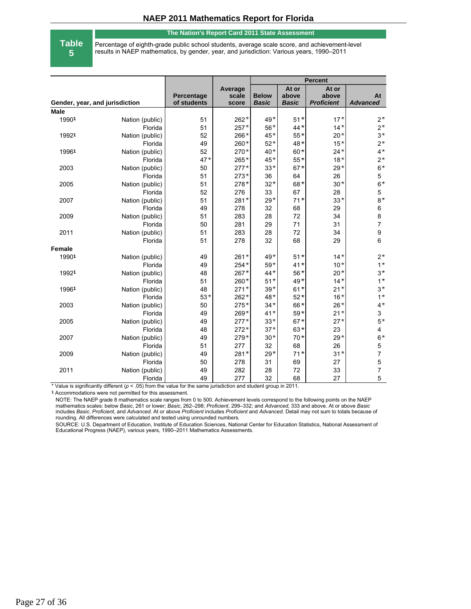#### **The Nation's Report Card 2011 State Assessment**

**Table**

**5**

Percentage of eighth-grade public school students, average scale score, and achievement-level results in NAEP mathematics, by gender, year, and jurisdiction: Various years, 1990–2011

|                                |                 |                           |                           | <b>Percent</b>               |                                |                                     |                       |
|--------------------------------|-----------------|---------------------------|---------------------------|------------------------------|--------------------------------|-------------------------------------|-----------------------|
| Gender, year, and jurisdiction |                 | Percentage<br>of students | Average<br>scale<br>score | <b>Below</b><br><b>Basic</b> | At or<br>above<br><b>Basic</b> | At or<br>above<br><b>Proficient</b> | At<br><b>Advanced</b> |
| <b>Male</b>                    |                 |                           |                           |                              |                                |                                     |                       |
| 19901                          | Nation (public) | 51                        | $262*$                    | $49*$                        | $51*$                          | $17+$                               | $2^*$                 |
|                                | Florida         | 51                        | $257*$                    | $56*$                        | $44*$                          | $14*$                               | $2^{\star}$           |
| 19921                          | Nation (public) | 52                        | 266*                      | $45*$                        | $55*$                          | $20*$                               | $3*$                  |
|                                | Florida         | 49                        | $260*$                    | $52*$                        | $48*$                          | $15*$                               | $2^*$                 |
| 19961                          | Nation (public) | 52                        | $270*$                    | $40*$                        | $60*$                          | $24*$                               | $4*$                  |
|                                | Florida         | $47*$                     | $265*$                    | $45*$                        | $55*$                          | $18*$                               | $2*$                  |
| 2003                           | Nation (public) | 50                        | $277*$                    | $33*$                        | $67*$                          | $29*$                               | $6*$                  |
|                                | Florida         | 51                        | $273*$                    | 36                           | 64                             | 26                                  | $\mathbf 5$           |
| 2005                           | Nation (public) | 51                        | 278*                      | $32*$                        | $68*$                          | $30*$                               | $6*$                  |
|                                | Florida         | 52                        | 276                       | 33                           | 67                             | 28                                  | $\mathbf 5$           |
| 2007                           | Nation (public) | 51                        | $281*$                    | $29*$                        | $71*$                          | $33*$                               | $8*$                  |
|                                | Florida         | 49                        | 278                       | 32                           | 68                             | 29                                  | 6                     |
| 2009                           | Nation (public) | 51                        | 283                       | 28                           | 72                             | 34                                  | 8                     |
|                                | Florida         | 50                        | 281                       | 29                           | 71                             | 31                                  | $\overline{7}$        |
| 2011                           | Nation (public) | 51                        | 283                       | 28                           | 72                             | 34                                  | $\boldsymbol{9}$      |
|                                | Florida         | 51                        | 278                       | 32                           | 68                             | 29                                  | 6                     |
| <b>Female</b>                  |                 |                           |                           |                              |                                |                                     |                       |
| 19901                          | Nation (public) | 49                        | $261*$                    | $49*$                        | $51*$                          | $14*$                               | $2*$                  |
|                                | Florida         | 49                        | $254*$                    | $59*$                        | $41*$                          | $10*$                               | $1^{\star}$           |
| 19921                          | Nation (public) | 48                        | 267*                      | $44*$                        | $56*$                          | $20*$                               | $3*$                  |
|                                | Florida         | 51                        | 260*                      | $51*$                        | 49*                            | $14*$                               | $1^{\star}$           |
| 19961                          | Nation (public) | 48                        | $271*$                    | $39*$                        | $61*$                          | $21*$                               | $3*$                  |
|                                | Florida         | $53*$                     | $262*$                    | $48*$                        | $52*$                          | $16*$                               | $1^{\star}$           |
| 2003                           | Nation (public) | 50                        | $275*$                    | $34*$                        | 66*                            | $26*$                               | $4*$                  |
|                                | Florida         | 49                        | 269*                      | $41*$                        | $59*$                          | $21*$                               | 3                     |
| 2005                           | Nation (public) | 49                        | $277*$                    | $33*$                        | $67*$                          | $27*$                               | $5*$                  |
|                                | Florida         | 48                        | $272*$                    | $37*$                        | $63*$                          | 23                                  | $\overline{4}$        |
| 2007                           | Nation (public) | 49                        | 279*                      | $30*$                        | $70*$                          | $29*$                               | $6*$                  |
|                                | Florida         | 51                        | 277                       | 32                           | 68                             | 26                                  | 5                     |
| 2009                           | Nation (public) | 49                        | 281*                      | $29*$                        | $71*$                          | $31*$                               | $\overline{7}$        |
|                                | Florida         | 50                        | 278                       | 31                           | 69                             | 27                                  | 5                     |
| 2011                           | Nation (public) | 49                        | 282                       | 28                           | 72                             | 33                                  | $\overline{7}$        |
|                                | Florida         | 49                        | 277                       | 32                           | 68                             | 27                                  | 5                     |

\* Value is significantly different (*p* < .05) from the value for the same jurisdiction and student group in 2011.

**1** Accommodations were not permitted for this assessment.

NOTE: The NAEP grade 8 mathematics scale ranges from 0 to 500. Achievement levels correspond to the following points on the NAEP mathematics scales: below *Basic*, 261 or lower; *Basic*, 262–298; *Proficient*, 299–332; and *Advanced*, 333 and above. At or above *Basic* includes *Basic*, *Proficient*, and *Advanced*. At or above *Proficient* includes *Proficient* and *Advanced*. Detail may not sum to totals because of rounding. All differences were calculated and tested using unrounded numbers.

SOURCE: U.S. Department of Education, Institute of Education Sciences, National Center for Education Statistics, National Assessment of Educational Progress (NAEP), various years, 1990–2011 Mathematics Assessments.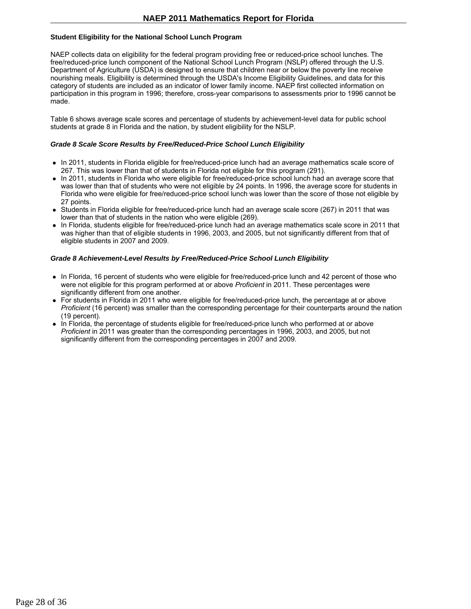## **Student Eligibility for the National School Lunch Program**

NAEP collects data on eligibility for the federal program providing free or reduced-price school lunches. The free/reduced-price lunch component of the National School Lunch Program (NSLP) offered through the U.S. Department of Agriculture (USDA) is designed to ensure that children near or below the poverty line receive nourishing meals. Eligibility is determined through the USDA's Income Eligibility Guidelines, and data for this category of students are included as an indicator of lower family income. NAEP first collected information on participation in this program in 1996; therefore, cross-year comparisons to assessments prior to 1996 cannot be made.

Table 6 shows average scale scores and percentage of students by achievement-level data for public school students at grade 8 in Florida and the nation, by student eligibility for the NSLP.

#### *Grade 8 Scale Score Results by Free/Reduced-Price School Lunch Eligibility*

- In 2011, students in Florida eligible for free/reduced-price lunch had an average mathematics scale score of 267. This was lower than that of students in Florida not eligible for this program (291).
- In 2011, students in Florida who were eligible for free/reduced-price school lunch had an average score that was lower than that of students who were not eligible by 24 points. In 1996, the average score for students in Florida who were eligible for free/reduced-price school lunch was lower than the score of those not eligible by 27 points.
- Students in Florida eligible for free/reduced-price lunch had an average scale score (267) in 2011 that was lower than that of students in the nation who were eligible (269).
- In Florida, students eligible for free/reduced-price lunch had an average mathematics scale score in 2011 that was higher than that of eligible students in 1996, 2003, and 2005, but not significantly different from that of eligible students in 2007 and 2009.

### *Grade 8 Achievement-Level Results by Free/Reduced-Price School Lunch Eligibility*

- In Florida, 16 percent of students who were eligible for free/reduced-price lunch and 42 percent of those who were not eligible for this program performed at or above *Proficient* in 2011. These percentages were significantly different from one another.
- For students in Florida in 2011 who were eligible for free/reduced-price lunch, the percentage at or above *Proficient* (16 percent) was smaller than the corresponding percentage for their counterparts around the nation (19 percent).
- In Florida, the percentage of students eligible for free/reduced-price lunch who performed at or above *Proficient* in 2011 was greater than the corresponding percentages in 1996, 2003, and 2005, but not significantly different from the corresponding percentages in 2007 and 2009.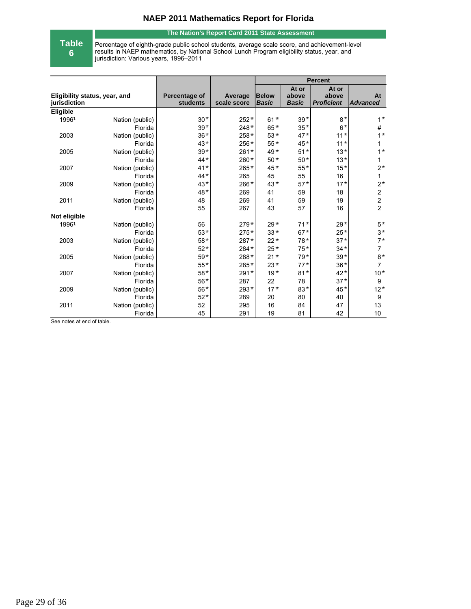### **The Nation's Report Card 2011 State Assessment**

# **Table**

**6**

Percentage of eighth-grade public school students, average scale score, and achievement-level results in NAEP mathematics, by National School Lunch Program eligibility status, year, and jurisdiction: Various years, 1996–2011

|                                               |                 |                                  |                        | <b>Percent</b>               |                                |                                     |                       |
|-----------------------------------------------|-----------------|----------------------------------|------------------------|------------------------------|--------------------------------|-------------------------------------|-----------------------|
| Eligibility status, year, and<br>jurisdiction |                 | Percentage of<br><b>students</b> | Average<br>scale score | <b>Below</b><br><b>Basic</b> | At or<br>above<br><b>Basic</b> | At or<br>above<br><b>Proficient</b> | At<br><b>Advanced</b> |
| Eligible                                      |                 |                                  |                        |                              |                                |                                     |                       |
| 19961                                         | Nation (public) | $30*$                            | $252*$                 | $61*$                        | $39*$                          | $8*$                                | $1^{\star}$           |
|                                               | Florida         | $39*$                            | $248*$                 | $65*$                        | $35*$                          | $6*$                                | #                     |
| 2003                                          | Nation (public) | $36*$                            | $258*$                 | $53*$                        | $47*$                          | $11+$                               | $1^{\star}$           |
|                                               | Florida         | $43*$                            | $256*$                 | $55*$                        | $45*$                          | $11*$                               | $\mathbf{1}$          |
| 2005                                          | Nation (public) | $39*$                            | $261*$                 | $49*$                        | $51*$                          | $13*$                               | $1^{\star}$           |
|                                               | Florida         | $44*$                            | 260*                   | $50*$                        | $50*$                          | $13*$                               | $\mathbf{1}$          |
| 2007                                          | Nation (public) | $41*$                            | 265*                   | $45*$                        | $55$ $^{\star}$                | $15*$                               | $2*$                  |
|                                               | Florida         | $44*$                            | 265                    | 45                           | 55                             | 16                                  | $\mathbf{1}$          |
| 2009                                          | Nation (public) | $43*$                            | 266*                   | $43*$                        | $57*$                          | $17*$                               | $2*$                  |
|                                               | Florida         | $48*$                            | 269                    | 41                           | 59                             | 18                                  | $\boldsymbol{2}$      |
| 2011                                          | Nation (public) | 48                               | 269                    | 41                           | 59                             | 19                                  | $\overline{c}$        |
|                                               | Florida         | 55                               | 267                    | 43                           | 57                             | 16                                  | $\overline{2}$        |
| Not eligible                                  |                 |                                  |                        |                              |                                |                                     |                       |
| 19961                                         | Nation (public) | 56                               | $279*$                 | $29*$                        | $71*$                          | $29*$                               | $5*$                  |
|                                               | Florida         | $53*$                            | $275*$                 | $33*$                        | $67*$                          | $25*$                               | $3*$                  |
| 2003                                          | Nation (public) | $58*$                            | 287*                   | $22*$                        | $78*$                          | $37*$                               | $7*$                  |
|                                               | Florida         | $52*$                            | $284*$                 | $25*$                        | $75*$                          | $34*$                               | $\overline{7}$        |
| 2005                                          | Nation (public) | $59*$                            | 288*                   | $21*$                        | $79*$                          | $39*$                               | $8*$                  |
|                                               | Florida         | $55*$                            | 285*                   | $23*$                        | $77*$                          | $36*$                               | $\overline{7}$        |
| 2007                                          | Nation (public) | $58*$                            | $291*$                 | $19*$                        | $81*$                          | $42*$                               | $10*$                 |
|                                               | Florida         | $56*$                            | 287                    | 22                           | 78                             | $37*$                               | $\boldsymbol{9}$      |
| 2009                                          | Nation (public) | $56*$                            | $293*$                 | $17*$                        | $83*$                          | $45*$                               | $12*$                 |
|                                               | Florida         | $52*$                            | 289                    | 20                           | 80                             | 40                                  | 9                     |
| 2011                                          | Nation (public) | 52                               | 295                    | 16                           | 84                             | 47                                  | 13                    |
|                                               | Florida         | 45                               | 291                    | 19                           | 81                             | 42                                  | 10                    |

See notes at end of table.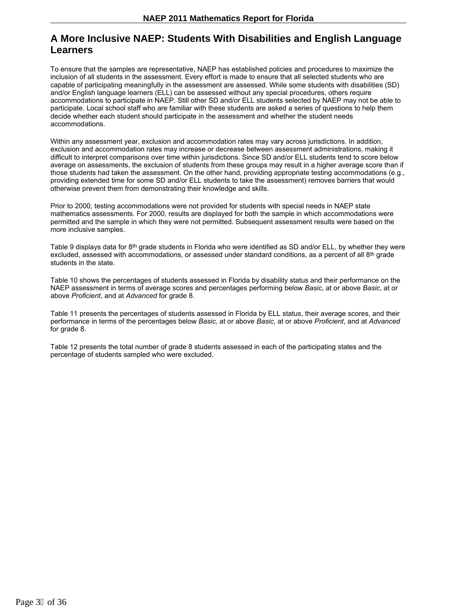# **A More Inclusive NAEP: Students With Disabilities and English Language Learners**

To ensure that the samples are representative, NAEP has established policies and procedures to maximize the inclusion of all students in the assessment. Every effort is made to ensure that all selected students who are capable of participating meaningfully in the assessment are assessed. While some students with disabilities (SD) and/or English language learners (ELL) can be assessed without any special procedures, others require accommodations to participate in NAEP. Still other SD and/or ELL students selected by NAEP may not be able to participate. Local school staff who are familiar with these students are asked a series of questions to help them decide whether each student should participate in the assessment and whether the student needs accommodations.

Within any assessment year, exclusion and accommodation rates may vary across jurisdictions. In addition, exclusion and accommodation rates may increase or decrease between assessment administrations, making it difficult to interpret comparisons over time within jurisdictions. Since SD and/or ELL students tend to score below average on assessments, the exclusion of students from these groups may result in a higher average score than if those students had taken the assessment. On the other hand, providing appropriate testing accommodations (e.g., providing extended time for some SD and/or ELL students to take the assessment) removes barriers that would otherwise prevent them from demonstrating their knowledge and skills.

Prior to 2000, testing accommodations were not provided for students with special needs in NAEP state mathematics assessments. For 2000, results are displayed for both the sample in which accommodations were permitted and the sample in which they were not permitted. Subsequent assessment results were based on the more inclusive samples.

Table 9 displays data for 8<sup>th</sup> grade students in Florida who were identified as SD and/or ELL, by whether they were excluded, assessed with accommodations, or assessed under standard conditions, as a percent of all  $8^{\rm th}$  grade students in the state.

Table 10 shows the percentages of students assessed in Florida by disability status and their performance on the NAEP assessment in terms of average scores and percentages performing below *Basic*, at or above *Basic*, at or above *Proficient*, and at *Advanced* for grade 8.

Table 11 presents the percentages of students assessed in Florida by ELL status, their average scores, and their performance in terms of the percentages below *Basic*, at or above *Basic*, at or above *Proficient*, and at *Advanced* for grade 8.

Table 12 presents the total number of grade 8 students assessed in each of the participating states and the percentage of students sampled who were excluded.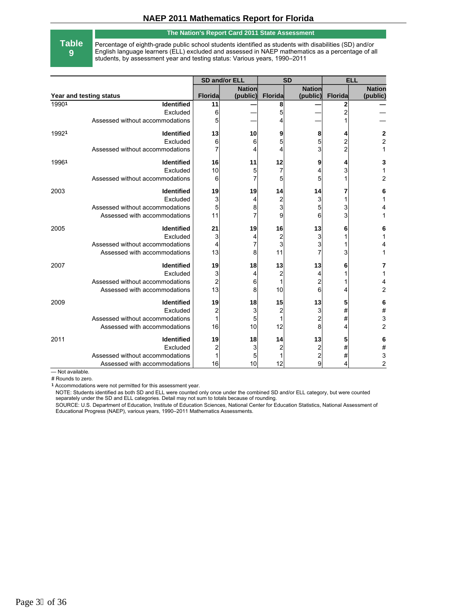#### **The Nation's Report Card 2011 State Assessment**

**Table 9**

Percentage of eighth-grade public school students identified as students with disabilities (SD) and/or English language learners (ELL) excluded and assessed in NAEP mathematics as a percentage of all students, by assessment year and testing status: Various years, 1990–2011

|                         |                                 | SD and/or ELL           |               | <b>SD</b>      |                | <b>ELL</b>     |                |
|-------------------------|---------------------------------|-------------------------|---------------|----------------|----------------|----------------|----------------|
|                         |                                 |                         | <b>Nation</b> |                | <b>Nation</b>  |                | <b>Nation</b>  |
| Year and testing status |                                 | <b>Florida</b>          | (public)      | <b>Florida</b> | (public)       | <b>Florida</b> | (public)       |
| 19901                   | Identified                      | 11                      |               | 8              |                | 2              |                |
|                         | Excluded                        | 6                       |               | 5              |                | 2              |                |
|                         | Assessed without accommodations | 5                       |               |                |                |                |                |
| 19921                   | <b>Identified</b>               | 13                      | 10            | 9              | 8              | 4              | 2              |
|                         | Excluded                        | 6                       | 6             | 5              | 5              | $\overline{c}$ | $\overline{c}$ |
|                         | Assessed without accommodations | 7                       |               | 4              | 3              | $\overline{c}$ | 1              |
| 19961                   | Identified                      | 16                      | 11            | 12             | 9              | 4              | 3              |
|                         | Excluded                        | 10                      | 5             | $\overline{7}$ | 4              | 3              | 1              |
|                         | Assessed without accommodations | 6                       |               | 5              | 5              |                | $\overline{c}$ |
| 2003                    | <b>Identified</b>               | 19                      | 19            | 14             | 14             | 7              | 6              |
|                         | Excluded                        | 3                       |               | 2              | 3              |                | 1              |
|                         | Assessed without accommodations | 5                       | 8             | 3              | 5              | 3              | 4              |
|                         | Assessed with accommodations    | 11                      |               | 9              | 6              | 3              | 1              |
| 2005                    | Identified                      | 21                      | 19            | 16             | 13             | 6              | 6              |
|                         | Excluded                        | 3                       | 4             | $\overline{2}$ | 3              |                | 1              |
|                         | Assessed without accommodations | 4                       |               | 3              | 3              |                | 4              |
|                         | Assessed with accommodations    | 13                      | 8             | 11             |                | 3              | 1              |
| 2007                    | <b>Identified</b>               | 19                      | 18            | 13             | 13             | 6              | 7              |
|                         | Excluded                        | 3                       | 4             | $\overline{2}$ | 4              |                | 1              |
|                         | Assessed without accommodations | $\overline{\mathbf{c}}$ | 6             | $\mathbf{1}$   | 2              |                | 4              |
|                         | Assessed with accommodations    | 13                      | 8             | 10             | 6              | 4              | $\overline{c}$ |
| 2009                    | <b>Identified</b>               | 19                      | 18            | 15             | 13             | 5              | 6              |
|                         | Excluded                        | $\overline{\mathbf{c}}$ | 3             | $\overline{2}$ | 3              | #              | $\#$           |
|                         | Assessed without accommodations | 1                       | 5             | 1              | 2              | #              | 3              |
|                         | Assessed with accommodations    | 16                      | 10            | 12             | 8              | 4              | $\overline{c}$ |
| 2011                    | <b>Identified</b>               | 19                      | 18            | 14             | 13             | 5              | 6              |
|                         | Excluded                        | $\overline{\mathbf{c}}$ | 3             | 2              | 2              | #              | #              |
|                         | Assessed without accommodations |                         | 5             |                | $\overline{c}$ | #              | 3              |
|                         | Assessed with accommodations    | 16                      | 10            | 12             | 9              | 4              | $\overline{c}$ |

— Not available.

# Rounds to zero.

**1** Accommodations were not permitted for this assessment year.

NOTE: Students identified as both SD and ELL were counted only once under the combined SD and/or ELL category, but were counted separately under the SD and ELL categories. Detail may not sum to totals because of rounding.

SOURCE: U.S. Department of Education, Institute of Education Sciences, National Center for Education Statistics, National Assessment of<br>Educational Progress (NAEP), various years, 1990–2011 Mathematics Assessments.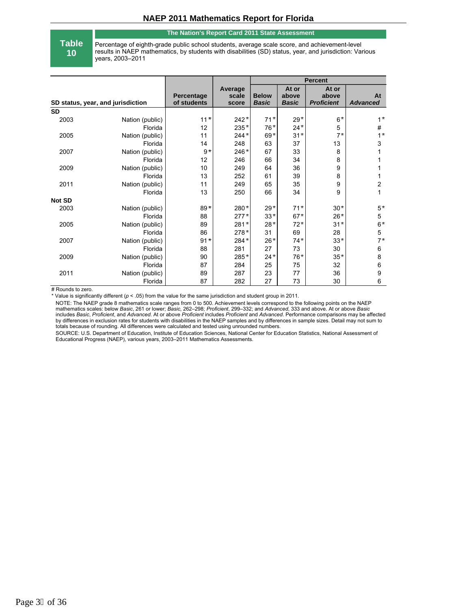#### **The Nation's Report Card 2011 State Assessment**

**Table 10**

Percentage of eighth-grade public school students, average scale score, and achievement-level results in NAEP mathematics, by students with disabilities (SD) status, year, and jurisdiction: Various years, 2003–2011

|               |                                   |                           |                           | <b>Percent</b>               |                                |                                     |                       |
|---------------|-----------------------------------|---------------------------|---------------------------|------------------------------|--------------------------------|-------------------------------------|-----------------------|
|               | SD status, year, and jurisdiction | Percentage<br>of students | Average<br>scale<br>score | <b>Below</b><br><b>Basic</b> | At or<br>above<br><b>Basic</b> | At or<br>above<br><b>Proficient</b> | At<br><b>Advanced</b> |
| <b>SD</b>     |                                   |                           |                           |                              |                                |                                     |                       |
| 2003          | Nation (public)                   | $11*$                     | $242*$                    | $71*$                        | $29*$                          | $6*$                                | $1^{\star}$           |
|               | Florida                           | 12                        | $235*$                    | $76*$                        | $24*$                          | 5                                   | $\#$                  |
| 2005          | Nation (public)                   | 11                        | $244*$                    | $69*$                        | $31*$                          | $7^*$                               | $1^*$                 |
|               | Florida                           | 14                        | 248                       | 63                           | 37                             | 13                                  | 3                     |
| 2007          | Nation (public)                   | $9*$                      | $246*$                    | 67                           | 33                             | 8                                   |                       |
|               | Florida                           | 12                        | 246                       | 66                           | 34                             | 8                                   | 1                     |
| 2009          | Nation (public)                   | 10                        | 249                       | 64                           | 36                             | 9                                   | 1                     |
|               | Florida                           | 13                        | 252                       | 61                           | 39                             | 8                                   | 1                     |
| 2011          | Nation (public)                   | 11                        | 249                       | 65                           | 35                             | 9                                   | $\overline{c}$        |
|               | Florida                           | 13                        | 250                       | 66                           | 34                             | 9                                   | 1                     |
| <b>Not SD</b> |                                   |                           |                           |                              |                                |                                     |                       |
| 2003          | Nation (public)                   | $89*$                     | 280*                      | $29*$                        | $71*$                          | $30*$                               | $5*$                  |
|               | Florida                           | 88                        | $277*$                    | $33*$                        | $67*$                          | $26*$                               | 5                     |
| 2005          | Nation (public)                   | 89                        | $281*$                    | $28*$                        | $72*$                          | $31*$                               | $6*$                  |
|               | Florida                           | 86                        | $278*$                    | 31                           | 69                             | 28                                  | 5                     |
| 2007          | Nation (public)                   | $91*$                     | 284*                      | $26*$                        | $74*$                          | $33*$                               | $7*$                  |
|               | Florida                           | 88                        | 281                       | 27                           | 73                             | 30                                  | 6                     |
| 2009          | Nation (public)                   | 90                        | 285*                      | $24*$                        | $76*$                          | $35*$                               | 8                     |
|               | Florida                           | 87                        | 284                       | 25                           | 75                             | 32                                  | 6                     |
| 2011          | Nation (public)                   | 89                        | 287                       | 23                           | 77                             | 36                                  | 9                     |
|               | Florida                           | 87                        | 282                       | 27                           | 73                             | 30                                  | 6                     |

# Rounds to zero.

\* Value is significantly different (*p* < .05) from the value for the same jurisdiction and student group in 2011.

NOTE: The NAEP grade 8 mathematics scale ranges from 0 to 500. Achievement levels correspond to the following points on the NAEP<br>mathematics scales: below *Basic*, 261 or lower; *Basic*, 262–298; *Proficient*, 299–332; and includes *Basic*, *Proficient*, and *Advanced*. At or above *Proficient* includes *Proficient* and *Advanced*. Performance comparisons may be affected by differences in exclusion rates for students with disabilities in the NAEP samples and by differences in sample sizes. Detail may not sum to totals because of rounding. All differences were calculated and tested using unrounded numbers.

SOURCE: U.S. Department of Education, Institute of Education Sciences, National Center for Education Statistics, National Assessment of Educational Progress (NAEP), various years, 2003–2011 Mathematics Assessments.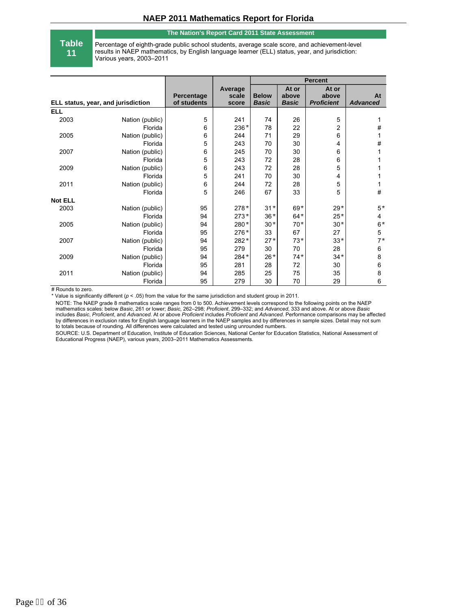#### **The Nation's Report Card 2011 State Assessment**

**Table 11**

Percentage of eighth-grade public school students, average scale score, and achievement-level results in NAEP mathematics, by English language learner (ELL) status, year, and jurisdiction: Various years, 2003–2011

|                |                                    |                           |                           | <b>Percent</b>               |                                |                                     |                       |
|----------------|------------------------------------|---------------------------|---------------------------|------------------------------|--------------------------------|-------------------------------------|-----------------------|
|                | ELL status, year, and jurisdiction | Percentage<br>of students | Average<br>scale<br>score | <b>Below</b><br><b>Basic</b> | At or<br>above<br><b>Basic</b> | At or<br>above<br><b>Proficient</b> | At<br><b>Advanced</b> |
| <b>ELL</b>     |                                    |                           |                           |                              |                                |                                     |                       |
| 2003           | Nation (public)                    | 5                         | 241                       | 74                           | 26                             | 5                                   | 1                     |
|                | Florida                            | 6                         | $236*$                    | 78                           | 22                             | 2                                   | #                     |
| 2005           | Nation (public)                    | 6                         | 244                       | 71                           | 29                             | 6                                   | 1                     |
|                | Florida                            | 5                         | 243                       | 70                           | 30                             | 4                                   | #                     |
| 2007           | Nation (public)                    | 6                         | 245                       | 70                           | 30                             | 6                                   | 1                     |
|                | Florida                            | 5                         | 243                       | 72                           | 28                             | 6                                   | 1                     |
| 2009           | Nation (public)                    | 6                         | 243                       | 72                           | 28                             | 5                                   | 1                     |
|                | Florida                            | 5                         | 241                       | 70                           | 30                             | 4                                   | 1                     |
| 2011           | Nation (public)                    | 6                         | 244                       | 72                           | 28                             | 5                                   | 1                     |
|                | Florida                            | 5                         | 246                       | 67                           | 33                             | 5                                   | #                     |
| <b>Not ELL</b> |                                    |                           |                           |                              |                                |                                     |                       |
| 2003           | Nation (public)                    | 95                        | $278*$                    | $31*$                        | $69*$                          | $29*$                               | $5*$                  |
|                | Florida                            | 94                        | $273*$                    | $36*$                        | $64*$                          | $25*$                               | 4                     |
| 2005           | Nation (public)                    | 94                        | 280*                      | $30*$                        | $70*$                          | $30*$                               | $6*$                  |
|                | Florida                            | 95                        | 276*                      | 33                           | 67                             | 27                                  | $\mathbf 5$           |
| 2007           | Nation (public)                    | 94                        | 282*                      | $27*$                        | $73*$                          | $33*$                               | $7*$                  |
|                | Florida                            | 95                        | 279                       | 30                           | 70                             | 28                                  | 6                     |
| 2009           | Nation (public)                    | 94                        | $284*$                    | $26*$                        | $74*$                          | $34*$                               | 8                     |
|                | Florida                            | 95                        | 281                       | 28                           | 72                             | 30                                  | 6                     |
| 2011           | Nation (public)                    | 94                        | 285                       | 25                           | 75                             | 35                                  | 8                     |
|                | Florida                            | 95                        | 279                       | 30                           | 70                             | 29                                  | 6                     |

# Rounds to zero.

\* Value is significantly different (*p* < .05) from the value for the same jurisdiction and student group in 2011.

NOTE: The NAEP grade 8 mathematics scale ranges from 0 to 500. Achievement levels correspond to the following points on the NAEP<br>mathematics scales: below *Basic*, 261 or lower; *Basic*, 262–298; *Proficient*, 299–332; and includes *Basic*, *Proficient*, and *Advanced*. At or above *Proficient* includes *Proficient* and *Advanced*. Performance comparisons may be affected by differences in exclusion rates for English language learners in the NAEP samples and by differences in sample sizes. Detail may not sum to totals because of rounding. All differences were calculated and tested using unrounded numbers.

SOURCE: U.S. Department of Education, Institute of Education Sciences, National Center for Education Statistics, National Assessment of Educational Progress (NAEP), various years, 2003–2011 Mathematics Assessments.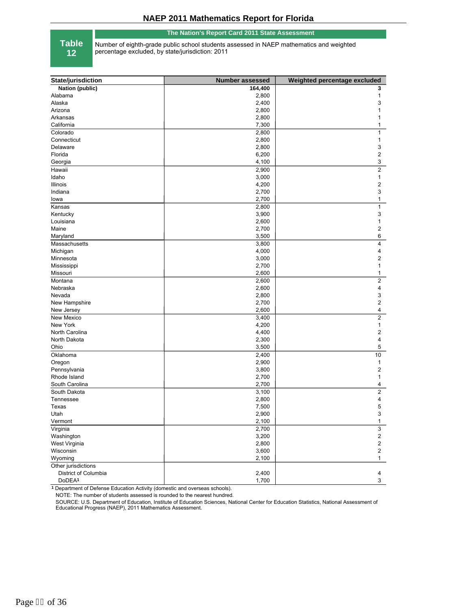#### **The Nation's Report Card 2011 State Assessment**

**Table**

**12**

Number of eighth-grade public school students assessed in NAEP mathematics and weighted percentage excluded, by state/jurisdiction: 2011

| State/jurisdiction             | <b>Number assessed</b> | Weighted percentage excluded |
|--------------------------------|------------------------|------------------------------|
| <b>Nation (public)</b>         | 164,400                | 3                            |
| Alabama                        | 2,800                  | 1                            |
| Alaska                         | 2,400                  | 3                            |
| Arizona                        | 2,800                  | 1                            |
| Arkansas                       | 2,800                  | 1                            |
| California                     | 7,300                  | 1                            |
| Colorado                       | 2,800                  | 1                            |
| Connecticut                    | 2,800                  | 1                            |
| Delaware                       | 2,800                  | 3                            |
| Florida                        | 6,200                  | 2                            |
| Georgia                        | 4,100                  | 3                            |
| Hawaii                         | 2,900                  | $\overline{2}$               |
| Idaho                          | 3,000                  | 1                            |
| Illinois                       | 4,200                  | 2                            |
| Indiana                        | 2,700                  | 3                            |
| lowa                           | 2,700                  | 1                            |
| Kansas                         | 2,800                  | 1                            |
| Kentucky                       | 3,900                  | 3                            |
| Louisiana                      | 2,600                  | 1                            |
| Maine                          | 2,700                  | 2                            |
|                                | 3,500                  | 6                            |
| Maryland<br>Massachusetts      | 3,800                  | $\overline{4}$               |
| Michigan                       | 4,000                  | 4                            |
| Minnesota                      | 3,000                  | 2                            |
|                                | 2,700                  | 1                            |
| Mississippi                    | 2,600                  |                              |
| Missouri<br>Montana            |                        | 1<br>$\overline{c}$          |
|                                | 2,600                  | 4                            |
| Nebraska<br>Nevada             | 2,600                  |                              |
| New Hampshire                  | 2,800<br>2,700         | 3<br>2                       |
| New Jersey                     | 2,600                  | 4                            |
| New Mexico                     | 3,400                  | $\overline{2}$               |
| New York                       | 4,200                  | 1                            |
| North Carolina                 | 4,400                  | 2                            |
| North Dakota                   | 2,300                  | 4                            |
| Ohio                           | 3,500                  | 5                            |
|                                |                        | 10                           |
| Oklahoma                       | 2,400<br>2,900         | $\mathbf{1}$                 |
| Oregon                         | 3,800                  | 2                            |
| Pennsylvania<br>Rhode Island   | 2,700                  | 1                            |
| South Carolina                 | 2,700                  | 4                            |
|                                | 3,100                  | $\overline{2}$               |
| South Dakota<br>Tennessee      | 2,800                  | 4                            |
| Texas                          | 7,500                  | 5                            |
| Utah                           | 2,900                  | 3                            |
|                                |                        |                              |
| Vermont                        | 2,100                  | 1                            |
| Virginia<br>Washington         | 2,700<br>3,200         | 3<br>2                       |
| West Virginia                  | 2,800                  | $\overline{\mathbf{c}}$      |
| Wisconsin                      |                        | $\mathbf 2$                  |
|                                | 3,600                  |                              |
| Wyoming<br>Other jurisdictions | 2,100                  | $\mathbf{1}$                 |
| District of Columbia           | 2,400                  | 4                            |
|                                |                        |                              |
| DoDEA <sup>1</sup>             | 1,700                  | $\mathbf{3}$                 |

**1** Department of Defense Education Activity (domestic and overseas schools).

NOTE: The number of students assessed is rounded to the nearest hundred.

SOURCE: U.S. Department of Education, Institute of Education Sciences, National Center for Education Statistics, National Assessment of Educational Progress (NAEP), 2011 Mathematics Assessment.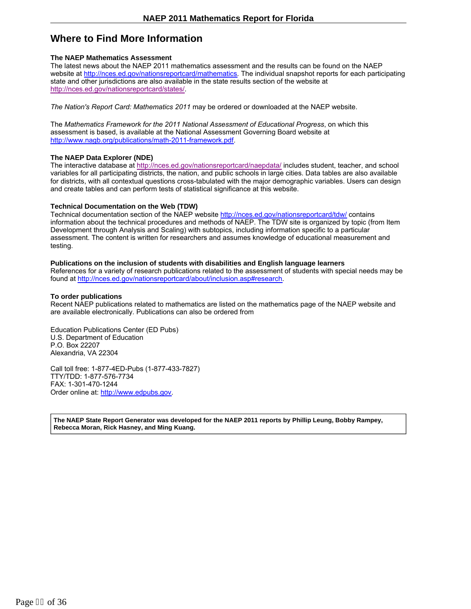# **Where to Find More Information**

### **The NAEP Mathematics Assessment**

The latest news about the NAEP 2011 mathematics assessment and the results can be found on the NAEP website at http://nces.ed.gov/nationsreportcard/mathematics. The individual snapshot reports for each participating state and other jurisdictions are also available in the state results section of the website at http://nces.ed.gov/nationsreportcard/states/.

*The Nation's Report Card: Mathematics 2011* may be ordered or downloaded at the NAEP website.

The *Mathematics Framework for the 2011 National Assessment of Educational Progress*, on which this assessment is based, is available at the National Assessment Governing Board website at http://www.nagb.org/publications/math-2011-framework.pdf.

### **The NAEP Data Explorer (NDE)**

The interactive database at http://nces.ed.gov/nationsreportcard/naepdata/ includes student, teacher, and school variables for all participating districts, the nation, and public schools in large cities. Data tables are also available for districts, with all contextual questions cross-tabulated with the major demographic variables. Users can design and create tables and can perform tests of statistical significance at this website.

#### **Technical Documentation on the Web (TDW)**

Technical documentation section of the NAEP website http://nces.ed.gov/nationsreportcard/tdw/ contains information about the technical procedures and methods of NAEP. The TDW site is organized by topic (from Item Development through Analysis and Scaling) with subtopics, including information specific to a particular assessment. The content is written for researchers and assumes knowledge of educational measurement and testing.

#### **Publications on the inclusion of students with disabilities and English language learners**

References for a variety of research publications related to the assessment of students with special needs may be found at http://nces.ed.gov/nationsreportcard/about/inclusion.asp#research.

### **To order publications**

Recent NAEP publications related to mathematics are listed on the mathematics page of the NAEP website and are available electronically. Publications can also be ordered from

Education Publications Center (ED Pubs) U.S. Department of Education P.O. Box 22207 Alexandria, VA 22304

Call toll free: 1-877-4ED-Pubs (1-877-433-7827) TTY/TDD: 1-877-576-7734 FAX: 1-301-470-1244 Order online at: http://www.edpubs.gov.

**The NAEP State Report Generator was developed for the NAEP 2011 reports by Phillip Leung, Bobby Rampey, Rebecca Moran, Rick Hasney, and Ming Kuang.**